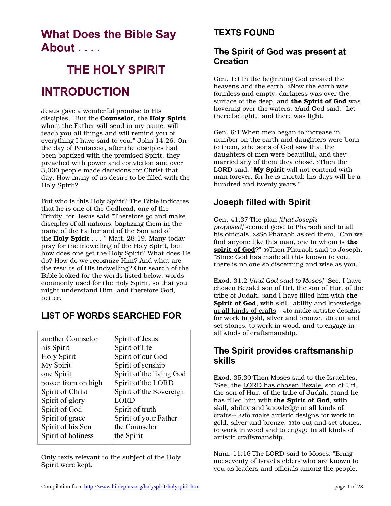# !"#\$ %& About . . . .

# **THE HOLY SPIRIT**

# **INTRODUCTION**

Jesus gave a wonderful promise to His disciples, "But the Counselor, the Holy Spirit, whom the Father will send in my name, will teach you all things and will remind you of everything I have said to you." John 14:26. On the day of Pentacost, after the disciples had been baptized with the promised Spirit, they preached with power and conviction and over 3,000 people made decisions for Christ that day. How many of us desire to be filled with the Holy Spirit?

But who is this Holy Spirit? The Bible indicates that he is one of the Godhead, one of the Trinity, for Jesus said "Therefore go and make disciples of all nations, baptizing them in the name of the Father and of the Son and of the Holy Spirit . . . " Matt. 28:19. Many today pray for the indwelling of the Holy Spirit, but how does one get the Holy Spirit? What does He do? How do we recognize Him? And what are the results of His indwelling? Our search of the Bible looked for the words listed below, words commonly used for the Holy Spirit, so that you might understand Him, and therefore God, better.

#### **LIST OF WORDS SEARCHED FOR** 6789 :; <:=>8 8?@=AB?> ;:=

| another Counselor  | Spirit of Jesus          |  |
|--------------------|--------------------------|--|
| his Spirit         | Spirit of life           |  |
| Holy Spirit        | Spirit of our God        |  |
| My Spirit          | Spirit of sonship        |  |
| one Spirit         | Spirit of the living God |  |
| power from on high | Spirit of the LORD       |  |
| Spirit of Christ   | Spirit of the Sovereign  |  |
| Spirit of glory    | LORD                     |  |
| Spirit of God      | Spirit of truth          |  |
| Spirit of grace    | Spirit of your Father    |  |
| Spirit of his Son  | the Counselor            |  |
| Spirit of holiness | the Spirit               |  |
|                    |                          |  |

Only texts relevant to the subject of the Holy Spirit were kept.

## **TEXTS FOUND**

#### The Spirit of God was present at Creation

Gen. 1:1 In the beginning God created the heavens and the earth. 2Now the earth was formless and empty, darkness was over the surface of the deep, and the Spirit of God was hovering over the waters. 3And God said, "Let there be light," and there was light.

Gen. 6:1 When men began to increase in number on the earth and daughters were born to them, 2the sons of God saw that the daughters of men were beautiful, and they married any of them they chose. 3Then the LORD said, "My Spirit will not contend with man forever, for he is mortal; his days will be a hundred and twenty years."

#### Joseph filled with Spirit

Gen. 41:37 The plan *[that Joseph proposed]* seemed good to Pharaoh and to all his officials. 38So Pharaoh asked them, "Can we find anyone like this man, one in whom is the spirit of God?" 39Then Pharaoh said to Joseph, "Since God has made all this known to you, there is no one so discerning and wise as you."

Exod. 31:2 *[And God said to Moses]* "See, I have chosen Bezalel son of Uri, the son of Hur, of the tribe of Judah, sand I have filled him with the Spirit of God, with skill, ability and knowledge in all kinds of crafts-- 4to make artistic designs for work in gold, silver and bronze, 5to cut and set stones, to work in wood, and to engage in all kinds of craftsmanship."

#### The Spirit provides craftsmanship skills

Exod. 35:30 Then Moses said to the Israelites, "See, the LORD has chosen Bezalel son of Uri, the son of Hur, of the tribe of Judah, 31and he has filled him with the Spirit of God, with skill, ability and knowledge in all kinds of crafts-- 32to make artistic designs for work in gold, silver and bronze, 33to cut and set stones, to work in wood and to engage in all kinds of artistic craftsmanship.

Num. 11:16 The LORD said to Moses: "Bring me seventy of Israel's elders who are known to you as leaders and officials among the people.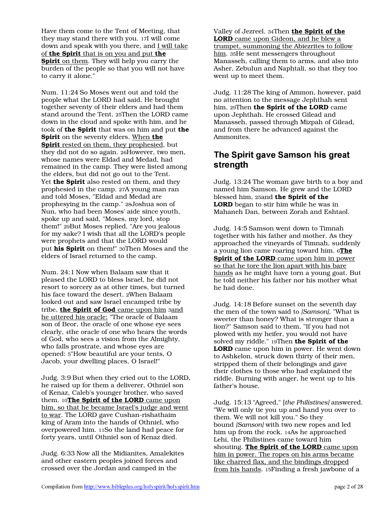Have them come to the Tent of Meeting, that they may stand there with you. 17I will come down and speak with you there, and I will take of **the Spirit** that is on you and put **the Spirit** on them. They will help you carry the burden of the people so that you will not have to carry it alone."

Num. 11:24 So Moses went out and told the people what the LORD had said. He brought together seventy of their elders and had them stand around the Tent. 25Then the LORD came down in the cloud and spoke with him, and he took of **the Spirit** that was on him and put **the** Spirit on the seventy elders. When the **Spirit** rested on them, they prophesied, but they did not do so again. 26However, two men, whose names were Eldad and Medad, had remained in the camp. They were listed among the elders, but did not go out to the Tent. Yet **the Spirit** also rested on them, and they prophesied in the camp. 27A young man ran and told Moses, "Eldad and Medad are prophesying in the camp." 28Joshua son of Nun, who had been Moses' aide since youth, spoke up and said, "Moses, my lord, stop them!" 29But Moses replied, "Are you jealous for my sake? I wish that all the LORD's people were prophets and that the LORD would put his Spirit on them!" 30Then Moses and the elders of Israel returned to the camp.

Num. 24:1 Now when Balaam saw that it pleased the LORD to bless Israel, he did not resort to sorcery as at other times, but turned his face toward the desert. 2When Balaam looked out and saw Israel encamped tribe by tribe, the Spirit of God came upon him 3and he uttered his oracle: "The oracle of Balaam son of Beor, the oracle of one whose eye sees clearly, 4the oracle of one who hears the words of God, who sees a vision from the Almighty, who falls prostrate, and whose eyes are opened: 5"How beautiful are your tents, O Jacob, your dwelling places, O Israel!"

Judg. 3:9 But when they cried out to the LORD, he raised up for them a deliverer, Othniel son of Kenaz, Caleb's younger brother, who saved them. 10The Spirit of the LORD came upon him, so that he became Israel's judge and went to war. The LORD gave Cushan-rishathaim king of Aram into the hands of Othniel, who overpowered him. 11So the land had peace for forty years, until Othniel son of Kenaz died.

Judg. 6:33 Now all the Midianites, Amalekites and other eastern peoples joined forces and crossed over the Jordan and camped in the

Valley of Jezreel. 34Then the Spirit of the LORD came upon Gideon, and he blew a trumpet, summoning the Abiezrites to follow him. 35He sent messengers throughout Manasseh, calling them to arms, and also into Asher, Zebulun and Naphtali, so that they too went up to meet them.

Judg. 11:28 The king of Ammon, however, paid no attention to the message Jephthah sent him. 29Then the Spirit of the LORD came upon Jephthah. He crossed Gilead and Manasseh, passed through Mizpah of Gilead, and from there he advanced against the Ammonites.

#### The Spirit gave Samson his great strength

Judg. 13:24 The woman gave birth to a boy and named him Samson. He grew and the LORD blessed him, 25and the Spirit of the LORD began to stir him while he was in Mahaneh Dan, between Zorah and Eshtaol.

Judg. 14:5 Samson went down to Timnah together with his father and mother. As they approached the vineyards of Timnah, suddenly a young lion came roaring toward him. 6The Spirit of the LORD came upon him in power so that he tore the lion apart with his bare hands as he might have torn a young goat. But he told neither his father nor his mother what he had done.

Judg. 14:18 Before sunset on the seventh day the men of the town said to *[Samson]*, "What is sweeter than honey? What is stronger than a lion?" Samson said to them, "If you had not plowed with my heifer, you would not have solved my riddle." 19Then the Spirit of the LORD came upon him in power. He went down to Ashkelon, struck down thirty of their men, stripped them of their belongings and gave their clothes to those who had explained the riddle. Burning with anger, he went up to his father's house.

Judg. 15:13 "Agreed," [*the Philistines]* answered. "We will only tie you up and hand you over to them. We will not kill you." So they bound *[Samson]* with two new ropes and led him up from the rock. 14As he approached Lehi, the Philistines came toward him shouting. The Spirit of the LORD came upon him in power. The ropes on his arms became like charred flax, and the bindings dropped from his hands. 15Finding a fresh jawbone of a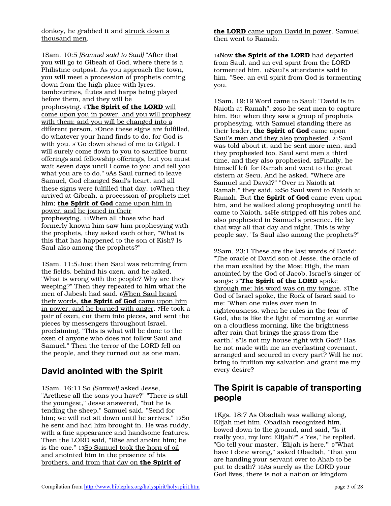donkey, he grabbed it and struck down a thousand men.

1Sam. 10:5 *[Samuel said to Saul]* "After that you will go to Gibeah of God, where there is a Philistine outpost. As you approach the town, you will meet a procession of prophets coming down from the high place with lyres, tambourines, flutes and harps being played before them, and they will be prophesying. 6The Spirit of the LORD will come upon you in power, and you will prophesy with them; and you will be changed into a different person. 7Once these signs are fulfilled, do whatever your hand finds to do, for God is with you. 8"Go down ahead of me to Gilgal. I will surely come down to you to sacrifice burnt offerings and fellowship offerings, but you must wait seven days until I come to you and tell you what you are to do." 9As Saul turned to leave Samuel, God changed Saul's heart, and all these signs were fulfilled that day. 10When they arrived at Gibeah, a procession of prophets met him; the Spirit of God came upon him in power, and he joined in their prophesying. 11When all those who had formerly known him saw him prophesying with the prophets, they asked each other, "What is this that has happened to the son of Kish? Is Saul also among the prophets?"

1Sam. 11:5 Just then Saul was returning from the fields, behind his oxen, and he asked, "What is wrong with the people? Why are they weeping?" Then they repeated to him what the men of Jabesh had said. 6When Saul heard their words, the Spirit of God came upon him in power, and he burned with anger. 7He took a pair of oxen, cut them into pieces, and sent the pieces by messengers throughout Israel, proclaiming, "This is what will be done to the oxen of anyone who does not follow Saul and Samuel." Then the terror of the LORD fell on the people, and they turned out as one man.

#### David anointed with the Spirit

1Sam. 16:11 So *[Samuel]* asked Jesse, "Arethese all the sons you have?" "There is still the youngest," Jesse answered, "but he is tending the sheep." Samuel said, "Send for him; we will not sit down until he arrives." 12So he sent and had him brought in. He was ruddy, with a fine appearance and handsome features. Then the LORD said, "Rise and anoint him; he is the one." 13So Samuel took the horn of oil and anointed him in the presence of his brothers, and from that day on the Spirit of

the LORD came upon David in power. Samuel then went to Ramah.

14Now the Spirit of the LORD had departed from Saul, and an evil spirit from the LORD tormented him. 15Saul's attendants said to him, "See, an evil spirit from God is tormenting you.

1Sam. 19:19 Word came to Saul: "David is in Naioth at Ramah"; 20so he sent men to capture him. But when they saw a group of prophets prophesying, with Samuel standing there as their leader, the Spirit of God came upon Saul's men and they also prophesied. 21Saul was told about it, and he sent more men, and they prophesied too. Saul sent men a third time, and they also prophesied. 22Finally, he himself left for Ramah and went to the great cistern at Secu. And he asked, "Where are Samuel and David?" "Over in Naioth at Ramah," they said. 23So Saul went to Naioth at Ramah. But the Spirit of God came even upon him, and he walked along prophesying until he came to Naioth. 24He stripped off his robes and also prophesied in Samuel's presence. He lay that way all that day and night. This is why people say, "Is Saul also among the prophets?"

2Sam. 23:1 These are the last words of David: "The oracle of David son of Jesse, the oracle of the man exalted by the Most High, the man anointed by the God of Jacob, Israel's singer of songs: 2"The Spirit of the LORD spoke through me; his word was on my tongue. 3The God of Israel spoke, the Rock of Israel said to me: `When one rules over men in righteousness, when he rules in the fear of God, 4he is like the light of morning at sunrise on a cloudless morning, like the brightness after rain that brings the grass from the earth.' 5"Is not my house right with God? Has he not made with me an everlasting covenant, arranged and secured in every part? Will he not bring to fruition my salvation and grant me my every desire?

#### The Spirit is capable of transporting people

1Kgs. 18:7 As Obadiah was walking along, Elijah met him. Obadiah recognized him, bowed down to the ground, and said, "Is it really you, my lord Elijah?" 8"Yes," he replied. "Go tell your master, `Elijah is here.'" 9"What have I done wrong," asked Obadiah, "that you are handing your servant over to Ahab to be put to death? 10As surely as the LORD your God lives, there is not a nation or kingdom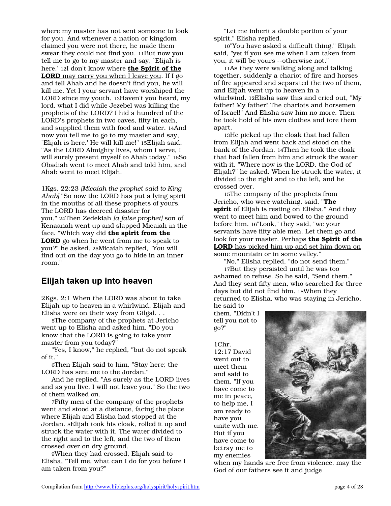where my master has not sent someone to look for you. And whenever a nation or kingdom claimed you were not there, he made them swear they could not find you. 11But now you tell me to go to my master and say, `Elijah is here.' 12I don't know where **the Spirit of the** LORD may carry you when I leave you. If I go and tell Ahab and he doesn't find you, he will kill me. Yet I your servant have worshiped the LORD since my youth. 13Haven't you heard, my lord, what I did while Jezebel was killing the prophets of the LORD? I hid a hundred of the LORD's prophets in two caves, fifty in each, and supplied them with food and water. 14And now you tell me to go to my master and say, `Elijah is here.' He will kill me!" 15Elijah said, "As the LORD Almighty lives, whom I serve, I will surely present myself to Ahab today." 16So Obadiah went to meet Ahab and told him, and Ahab went to meet Elijah.

1Kgs. 22:23 *[Micaiah the prophet said to King Ahab]* "So now the LORD has put a lying spirit in the mouths of all these prophets of yours. The LORD has decreed disaster for you." 24Then Zedekiah *[a false prophet]* son of Kenaanah went up and slapped Micaiah in the face. "Which way did the spirit from the LORD go when he went from me to speak to you?" he asked. 25Micaiah replied, "You will find out on the day you go to hide in an inner room."

#### Elijah taken up into heaven

2Kgs. 2:1 When the LORD was about to take Elijah up to heaven in a whirlwind, Elijah and Elisha were on their way from Gilgal. . .

 5The company of the prophets at Jericho went up to Elisha and asked him, "Do you know that the LORD is going to take your master from you today?"

 "Yes, I know," he replied, "but do not speak of it."

 6Then Elijah said to him, "Stay here; the LORD has sent me to the Jordan."

 And he replied, "As surely as the LORD lives and as you live, I will not leave you." So the two of them walked on.

 7Fifty men of the company of the prophets went and stood at a distance, facing the place where Elijah and Elisha had stopped at the Jordan. 8Elijah took his cloak, rolled it up and struck the water with it. The water divided to the right and to the left, and the two of them crossed over on dry ground.

 9When they had crossed, Elijah said to Elisha, "Tell me, what can I do for you before I am taken from you?"

 "Let me inherit a double portion of your spirit," Elisha replied.

 10"You have asked a difficult thing," Elijah said, "yet if you see me when I am taken from you, it will be yours --otherwise not."

 11As they were walking along and talking together, suddenly a chariot of fire and horses of fire appeared and separated the two of them, and Elijah went up to heaven in a whirlwind. 12Elisha saw this and cried out, "My father! My father! The chariots and horsemen of Israel!" And Elisha saw him no more. Then he took hold of his own clothes and tore them apart.

 13He picked up the cloak that had fallen from Elijah and went back and stood on the bank of the Jordan. 14Then he took the cloak that had fallen from him and struck the water with it. "Where now is the LORD, the God of Elijah?" he asked. When he struck the water, it divided to the right and to the left, and he crossed over.

 15The company of the prophets from Jericho, who were watching, said, "The spirit of Elijah is resting on Elisha." And they went to meet him and bowed to the ground before him. 16"Look," they said, "we your servants have fifty able men. Let them go and look for your master. Perhaps the Spirit of the LORD has picked him up and set him down on some mountain or in some valley."

 "No," Elisha replied, "do not send them." 17But they persisted until he was too ashamed to refuse. So he said, "Send them." And they sent fifty men, who searched for three days but did not find him. 18When they returned to Elisha, who was staying in Jericho,

he said to them, "Didn't I tell you not to go?"

1Chr. 12:17 David went out to meet them and said to them, "If you have come to me in peace, to help me, I am ready to have you unite with me. But if you have come to betray me to my enemies



when my hands are free from violence, may the God of our fathers see it and judge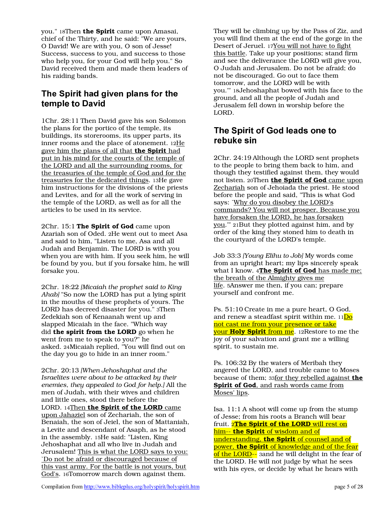you." 18Then the Spirit came upon Amasai, chief of the Thirty, and he said: "We are yours, O David! We are with you, O son of Jesse! Success, success to you, and success to those who help you, for your God will help you." So David received them and made them leaders of his raiding bands.

#### temple to David

1Chr. 28:11 Then David gave his son Solomon the plans for the portico of the temple, its buildings, its storerooms, its upper parts, its inner rooms and the place of atonement. 12He gave him the plans of all that the Spirit had put in his mind for the courts of the temple of the LORD and all the surrounding rooms, for the treasuries of the temple of God and for the treasuries for the dedicated things. 13He gave him instructions for the divisions of the priests and Levites, and for all the work of serving in the temple of the LORD, as well as for all the articles to be used in its service.

2Chr. 15:1 The Spirit of God came upon Azariah son of Oded. 2He went out to meet Asa and said to him, "Listen to me, Asa and all Judah and Benjamin. The LORD is with you when you are with him. If you seek him, he will be found by you, but if you forsake him, he will forsake you.

2Chr. 18:22 *[Micaiah the prophet said to King Ahab]* "So now the LORD has put a lying spirit in the mouths of these prophets of yours. The LORD has decreed disaster for you." 3Then Zedekiah son of Kenaanah went up and slapped Micaiah in the face. "Which way did the spirit from the LORD go when he went from me to speak to you?" he asked. 24Micaiah replied, "You will find out on the day you go to hide in an inner room."

2Chr. 20:13 *[When Jehoshaphat and the Israelites were about to be attacked by their enemies, they appealed to God for help.]* All the men of Judah, with their wives and children and little ones, stood there before the LORD. 14Then the Spirit of the LORD came upon Jahaziel son of Zechariah, the son of Benaiah, the son of Jeiel, the son of Mattaniah, a Levite and descendant of Asaph, as he stood in the assembly. 15He said: "Listen, King Jehoshaphat and all who live in Judah and Jerusalem! This is what the LORD says to you: `Do not be afraid or discouraged because of this vast army. For the battle is not yours, but God's. 16Tomorrow march down against them.

They will be climbing up by the Pass of Ziz, and you will find them at the end of the gorge in the Desert of Jeruel. 17You will not have to fight this battle. Take up your positions; stand firm and see the deliverance the LORD will give you, O Judah and Jerusalem. Do not be afraid; do not be discouraged. Go out to face them tomorrow, and the LORD will be with you.'" 18Jehoshaphat bowed with his face to the ground, and all the people of Judah and Jerusalem fell down in worship before the LORD.

#### - A strategie of the strategie of the strategie of the strategie of the strategie of the strategie of the strategie of the strategie of the strategie of the strategie of the strategie of the strategie of the strategie of t rebuke sin

2Chr. 24:19 Although the LORD sent prophets to the people to bring them back to him, and though they testified against them, they would not listen. 20Then **the Spirit of God** came upon Zechariah son of Jehoiada the priest. He stood before the people and said, "This is what God says: `Why do you disobey the LORD's commands? You will not prosper. Because you have forsaken the LORD, he has forsaken you.'" 21But they plotted against him, and by order of the king they stoned him to death in the courtyard of the LORD's temple.

Job 33:3 *[Young Elihu to Job]* My words come from an upright heart; my lips sincerely speak what I know. 4The Spirit of God has made me; the breath of the Almighty gives me life. 5Answer me then, if you can; prepare yourself and confront me.

Ps. 51:10 Create in me a pure heart, O God, and renew a steadfast spirit within me.  $11D_0$ not cast me from your presence or take your Holy Spirit from me. 12 Restore to me the joy of your salvation and grant me a willing spirit, to sustain me.

Ps. 106:32 By the waters of Meribah they angered the LORD, and trouble came to Moses because of them; 33 for they rebelled against **the** Spirit of God, and rash words came from Moses' lips.

Isa. 11:1 A shoot will come up from the stump of Jesse; from his roots a Branch will bear fruit. **2The Spirit of the LORD** will rest on him-- the Spirit of wisdom and of understanding, the Spirit of counsel and of power, the Spirit of knowledge and of the fear of the LORD-- 3and he will delight in the fear of the LORD. He will not judge by what he sees with his eyes, or decide by what he hears with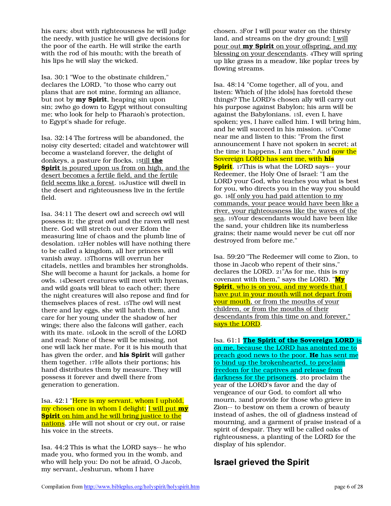his ears; 4but with righteousness he will judge the needy, with justice he will give decisions for the poor of the earth. He will strike the earth with the rod of his mouth; with the breath of his lips he will slay the wicked.

Isa. 30:1 "Woe to the obstinate children," declares the LORD, "to those who carry out plans that are not mine, forming an alliance, but not by **my Spirit**, heaping sin upon sin; 2who go down to Egypt without consulting me; who look for help to Pharaoh's protection, to Egypt's shade for refuge.

Isa. 32:14 The fortress will be abandoned, the noisy city deserted; citadel and watchtower will become a wasteland forever, the delight of donkeys, a pasture for flocks, 15till the Spirit is poured upon us from on high, and the desert becomes a fertile field, and the fertile field seems like a forest. 16Justice will dwell in the desert and righteousness live in the fertile field.

Isa. 34:11 The desert owl and screech owl will possess it; the great owl and the raven will nest there. God will stretch out over Edom the measuring line of chaos and the plumb line of desolation. 12Her nobles will have nothing there to be called a kingdom, all her princes will vanish away. 13Thorns will overrun her citadels, nettles and brambles her strongholds. She will become a haunt for jackals, a home for owls. 14Desert creatures will meet with hyenas, and wild goats will bleat to each other; there the night creatures will also repose and find for themselves places of rest. 15The owl will nest there and lay eggs, she will hatch them, and care for her young under the shadow of her wings; there also the falcons will gather, each with its mate. 16Look in the scroll of the LORD and read: None of these will be missing, not one will lack her mate. For it is his mouth that has given the order, and his Spirit will gather them together. 17He allots their portions; his hand distributes them by measure. They will possess it forever and dwell there from generation to generation.

Isa. 42:1 "Here is my servant, whom I uphold, my chosen one in whom I delight; I will put **my Spirit** on him and he will bring justice to the nations. 2He will not shout or cry out, or raise his voice in the streets.

Isa. 44:2 This is what the LORD says-- he who made you, who formed you in the womb, and who will help you: Do not be afraid, O Jacob, my servant, Jeshurun, whom I have

chosen. 3For I will pour water on the thirsty land, and streams on the dry ground; I will pour out **my Spirit** on your offspring, and my blessing on your descendants. 4They will spring up like grass in a meadow, like poplar trees by flowing streams.

Isa. 48:14 "Come together, all of you, and listen: Which of [the idols] has foretold these things? The LORD's chosen ally will carry out his purpose against Babylon; his arm will be against the Babylonians. 15I, even I, have spoken; yes, I have called him. I will bring him, and he will succeed in his mission. 16"Come near me and listen to this: "From the first announcement I have not spoken in secret; at the time it happens, I am there." And now the Sovereign LORD has sent me, with his **Spirit.** 17This is what the LORD says-- your Redeemer, the Holy One of Israel: "I am the LORD your God, who teaches you what is best for you, who directs you in the way you should go. 18If only you had paid attention to my commands, your peace would have been like a river, your righteousness like the waves of the sea. 19Your descendants would have been like the sand, your children like its numberless grains; their name would never be cut off nor destroyed from before me."

Isa. 59:20 "The Redeemer will come to Zion, to those in Jacob who repent of their sins," declares the LORD. 21"As for me, this is my covenant with them," says the LORD. "My **Spirit**, who is on you, and my words that I have put in your mouth will not depart from your mouth, or from the mouths of your children, or from the mouths of their descendants from this time on and forever," says the LORD.

Isa. 61:1 The Spirit of the Sovereign LORD is on me, because the LORD has anointed me to preach good news to the poor. He has sent me to bind up the brokenhearted, to proclaim freedom for the captives and release from darkness for the prisoners, 2to proclaim the year of the LORD's favor and the day of vengeance of our God, to comfort all who mourn, 3and provide for those who grieve in Zion-- to bestow on them a crown of beauty instead of ashes, the oil of gladness instead of mourning, and a garment of praise instead of a spirit of despair. They will be called oaks of righteousness, a planting of the LORD for the display of his splendor.

#### Israel grieved the Spirit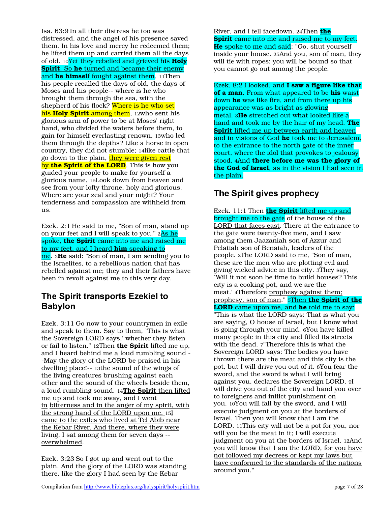Isa. 63:9 In all their distress he too was distressed, and the angel of his presence saved them. In his love and mercy he redeemed them; he lifted them up and carried them all the days of old. 10Yet they rebelled and grieved his **Holy Spirit.** So he turned and became their enemy and **he himsel**f fought against them. 11Then his people recalled the days of old, the days of Moses and his people-- where is he who brought them through the sea, with the shepherd of his flock? <mark>Where is he who set</mark> his **Holy Spirit** among them, 12who sent his glorious arm of power to be at Moses' right hand, who divided the waters before them, to gain for himself everlasting renown, 13who led them through the depths? Like a horse in open country, they did not stumble; 14like cattle that go down to the plain, <mark>they were given rest</mark> by the Spirit of the LORD. This is how you guided your people to make for yourself a glorious name. 15Look down from heaven and see from your lofty throne, holy and glorious. Where are your zeal and your might? Your tenderness and compassion are withheld from us.

Ezek. 2:1 He said to me, "Son of man, stand up on your feet and I will speak to you." 2<mark>As he</mark> spoke, the Spirit came into me and raised me to my feet, and I heard **him** speaking to me. 3He said: "Son of man, I am sending you to the Israelites, to a rebellious nation that has rebelled against me; they and their fathers have been in revolt against me to this very day.

#### The Spirit transports Ezekiel to Babylon

Ezek. 3:11 Go now to your countrymen in exile and speak to them. Say to them, `This is what the Sovereign LORD says,' whether they listen or fail to listen." 12Then **the Spirit** lifted me up, and I heard behind me a loud rumbling sound - -May the glory of the LORD be praised in his dwelling place!-- 13the sound of the wings of the living creatures brushing against each other and the sound of the wheels beside them, a loud rumbling sound. 14The Spirit then lifted me up and took me away, and I went in bitterness and in the anger of my spirit, with the strong hand of the LORD upon me. 15I came to the exiles who lived at Tel Abib near the Kebar River. And there, where they were living, I sat among them for seven days - overwhelmed.

Ezek. 3:23 So I got up and went out to the plain. And the glory of the LORD was standing there, like the glory I had seen by the Kebar

River, and I fell facedown. 24Then the Spirit came into me and raised me to my feet. He spoke to me and said: "Go, shut yourself inside your house. 25And you, son of man, they will tie with ropes; you will be bound so that you cannot go out among the people.

Ezek. 8:2 I looked, and I saw a figure like that of a man. From what appeared to be his waist down he was like fire, and from there up his appearance was as bright as glowing metal. 3He stretched out what looked like a hand and took me by the hair of my head. The **Spirit** lifted me up between earth and heaven and in visions of God he took me to Jerusalem, to the entrance to the north gate of the inner court, where the idol that provokes to jealousy stood. 4And there before me was the glory of the God of Israel, as in the vision I had seen in the plain.

## The Spirit gives prophecy

Ezek. 11:1 Then the Spirit lifted me up and brought me to the gate of the house of the LORD that faces east. There at the entrance to the gate were twenty-five men, and I saw among them Jaazaniah son of Azzur and Pelatiah son of Benaiah, leaders of the people. 2The LORD said to me, "Son of man, these are the men who are plotting evil and giving wicked advice in this city. 3They say, `Will it not soon be time to build houses? This city is a cooking pot, and we are the meat.' 4Therefore prophesy against them; prophesy, son of man." 5Then the Spirit of the LORD came upon me, and he told me to say: "This is what the LORD says: That is what you are saying, O house of Israel, but I know what is going through your mind. 6You have killed many people in this city and filled its streets with the dead. 7"Therefore this is what the Sovereign LORD says: The bodies you have thrown there are the meat and this city is the pot, but I will drive you out of it. 8You fear the sword, and the sword is what I will bring against you, declares the Sovereign LORD. 9I will drive you out of the city and hand you over to foreigners and inflict punishment on you. 10You will fall by the sword, and I will execute judgment on you at the borders of Israel. Then you will know that I am the LORD. 11This city will not be a pot for you, nor will you be the meat in it; I will execute judgment on you at the borders of Israel. 12And you will know that I am the LORD, for you have not followed my decrees or kept my laws but have conformed to the standards of the nations around you."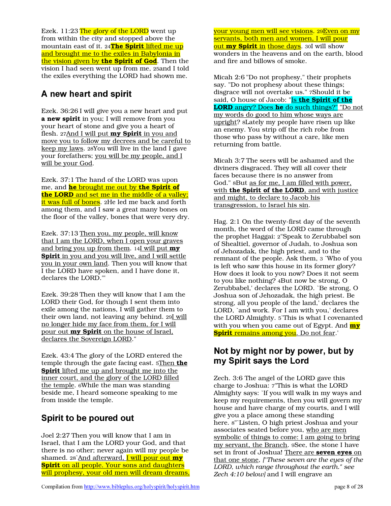Ezek. 11:23 The glory of the LORD went up from within the city and stopped above the mountain east of it. 24The Spirit lifted me up and brought me to the exiles in Babylonia in the vision given by the Spirit of God. Then the vision I had seen went up from me, 25and I told the exiles everything the LORD had shown me.

#### A new heart and spirit

Ezek. 36:26 I will give you a new heart and put a new spirit in you; I will remove from you your heart of stone and give you a heart of flesh. 27And I will put my Spirit in you and move you to follow my decrees and be careful to keep my laws. 28You will live in the land I gave your forefathers; you will be my people, and I will be your God.

Ezek. 37:1 The hand of the LORD was upon me, and **he** brought me out by **the Spirit of** the LORD and set me in the middle of a valley; it was full of bones. 2He led me back and forth among them, and I saw a great many bones on the floor of the valley, bones that were very dry.

Ezek. 37:13 Then you, my people, will know that I am the LORD, when I open your graves and bring you up from them. 14I will put **my** Spirit in you and you will live, and I will settle you in your own land. Then you will know that I the LORD have spoken, and I have done it, declares the LORD.'"

Ezek. 39:28 Then they will know that I am the LORD their God, for though I sent them into exile among the nations, I will gather them to their own land, not leaving any behind. 29I will no longer hide my face from them, for I will pour out **my Spirit** on the house of Israel, declares the Sovereign LORD."

Ezek. 43:4 The glory of the LORD entered the temple through the gate facing east. 5Then the **Spirit** lifted me up and brought me into the inner court, and the glory of the LORD filled the temple. 6While the man was standing beside me, I heard someone speaking to me from inside the temple.

#### Spirit to be poured out

Joel 2:27 Then you will know that I am in Israel, that I am the LORD your God, and that there is no other; never again will my people be shamed. 28`And afterward, I will pour out my **Spirit** on all people. Your sons and daughters will prophesy, your old men will dream dreams, your young men will see visions. 29Even on my servants, both men and women, I will pour out **my Spirit** in those days. 30I will show wonders in the heavens and on the earth, blood and fire and billows of smoke.

Micah 2:6 "Do not prophesy," their prophets say. "Do not prophesy about these things; disgrace will not overtake us." 7Should it be said, O house of Jacob: "Is the Spirit of the **LORD** angry? Does **he** do such things?" "Do not my words do good to him whose ways are upright? 8Lately my people have risen up like an enemy. You strip off the rich robe from those who pass by without a care, like men returning from battle.

Micah 3:7 The seers will be ashamed and the diviners disgraced. They will all cover their faces because there is no answer from God." 8But as for me, I am filled with power, with the Spirit of the LORD, and with justice and might, to declare to Jacob his transgression, to Israel his sin.

Hag. 2:1 On the twenty-first day of the seventh month, the word of the LORD came through the prophet Haggai: 2"Speak to Zerubbabel son of Shealtiel, governor of Judah, to Joshua son of Jehozadak, the high priest, and to the remnant of the people. Ask them, 3 `Who of you is left who saw this house in its former glory? How does it look to you now? Does it not seem to you like nothing? 4But now be strong, O Zerubbabel,' declares the LORD. `Be strong, O Joshua son of Jehozadak, the high priest. Be strong, all you people of the land,' declares the LORD, `and work. For I am with you,' declares the LORD Almighty. 5`This is what I covenanted with you when you came out of Egypt. And **my Spirit remains among you. Do not fear.** 

#### Not by might nor by power, but by my Spirit says the Lord

Zech. 3:6 The angel of the LORD gave this charge to Joshua: 7"This is what the LORD Almighty says: `If you will walk in my ways and keep my requirements, then you will govern my house and have charge of my courts, and I will give you a place among these standing here. 8"`Listen, O high priest Joshua and your associates seated before you, who are men symbolic of things to come: I am going to bring my servant, the Branch. 9See, the stone I have set in front of Joshua! There are seven eyes on that one stone, *[*"*These seven are the eyes of the LORD, which range throughout the earth." see Zech 4:10 below]* and I will engrave an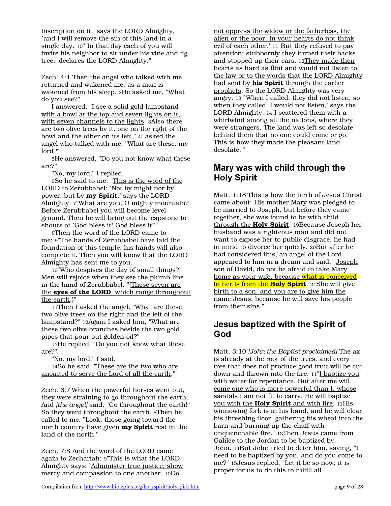inscription on it,' says the LORD Almighty, `and I will remove the sin of this land in a single day. 10"`In that day each of you will invite his neighbor to sit under his vine and fig tree,' declares the LORD Almighty."

Zech. 4:1 Then the angel who talked with me returned and wakened me, as a man is wakened from his sleep. 2He asked me, "What do you see?"

 I answered, "I see a solid gold lampstand with a bowl at the top and seven lights on it, with seven channels to the lights. 3Also there are two olive trees by it, one on the right of the bowl and the other on its left." 4I asked the angel who talked with me, "What are these, my lord?"

 5He answered, "Do you not know what these are?"

"No, my lord," I replied.

 6So he said to me, "This is the word of the LORD to Zerubbabel: `Not by might nor by power, but by **my Spirit**,' says the LORD Almighty. 7"What are you, O mighty mountain? Before Zerubbabel you will become level ground. Then he will bring out the capstone to shouts of `God bless it! God bless it!'"

 8Then the word of the LORD came to me: 9"The hands of Zerubbabel have laid the foundation of this temple; his hands will also complete it. Then you will know that the LORD Almighty has sent me to you.

 10"Who despises the day of small things? Men will rejoice when they see the plumb line in the hand of Zerubbabel. "(These seven are the eyes of the LORD, which range throughout the earth.)"

 11Then I asked the angel, "What are these two olive trees on the right and the left of the lampstand?" 12Again I asked him, "What are these two olive branches beside the two gold pipes that pour out golden oil?"

 13He replied, "Do you not know what these are?"

"No, my lord," I said.

 14So he said, "These are the two who are anointed to serve the Lord of all the earth."

Zech. 6:7 When the powerful horses went out, they were straining to go throughout the earth. And *[the angel]* said, "Go throughout the earth!" So they went throughout the earth. 8Then he called to me, "Look, those going toward the north country have given **my Spirit** rest in the land of the north."

Zech. 7:8 And the word of the LORD came again to Zechariah: 9"This is what the LORD Almighty says: `Administer true justice; show mercy and compassion to one another. 10Do

not oppress the widow or the fatherless, the alien or the poor. In your hearts do not think evil of each other.' 11"But they refused to pay attention; stubbornly they turned their backs and stopped up their ears. 12They made their hearts as hard as flint and would not listen to the law or to the words that the LORD Almighty had sent by his Spirit through the earlier prophets. So the LORD Almighty was very angry. 13"`When I called, they did not listen; so when they called, I would not listen,' says the LORD Almighty. 14`I scattered them with a whirlwind among all the nations, where they were strangers. The land was left so desolate behind them that no one could come or go. This is how they made the pleasant land desolate.'"

#### Mary was with child through the **Holy Spirit**

Matt. 1:18 This is how the birth of Jesus Christ came about: His mother Mary was pledged to be married to Joseph, but before they came together, she was found to be with child through the **Holy Spirit**. 19Because Joseph her husband was a righteous man and did not want to expose her to public disgrace, he had in mind to divorce her quietly. 20But after he had considered this, an angel of the Lord appeared to him in a dream and said, "Joseph son of David, do not be afraid to take Mary home as your wife, because what is conceived in her is from the **Holy Spirit**. 21She will give birth to a son, and you are to give him the name Jesus, because he will save his people from their sins."

#### Jesus baptized with the Spirit of God

Matt. 3:10 *[John the Baptist proclaimed]* The ax is already at the root of the trees, and every tree that does not produce good fruit will be cut down and thrown into the fire. 11"I baptize you with water for repentance. But after me will come one who is more powerful than I, whose sandals I am not fit to carry. He will baptize you with the **Holy Spirit** and with fire. 12His winnowing fork is in his hand, and he will clear his threshing floor, gathering his wheat into the barn and burning up the chaff with unquenchable fire." 13Then Jesus came from Galilee to the Jordan to be baptized by John. 14But John tried to deter him, saying, "I need to be baptized by you, and do you come to me?" 15Jesus replied, "Let it be so now; it is proper for us to do this to fulfill all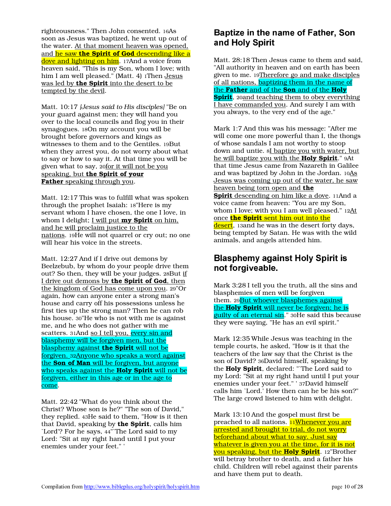righteousness." Then John consented. 16As soon as Jesus was baptized, he went up out of the water. At that moment heaven was opened, and he saw the Spirit of God descending like a <mark>dove and lighting on him</mark>. 17And a voice from heaven said, "This is my Son, whom I love; with him I am well pleased." (Matt. 4) 1Then Jesus was led by **the Spirit** into the desert to be tempted by the devil.

Matt. 10:17 *[Jesus said to His disciples]* "Be on your guard against men; they will hand you over to the local councils and flog you in their synagogues. 18On my account you will be brought before governors and kings as witnesses to them and to the Gentiles. 19But when they arrest you, do not worry about what to say or how to say it. At that time you will be given what to say, 20for it will not be you speaking, but the Spirit of your Father speaking through you.

Matt. 12:17 This was to fulfill what was spoken through the prophet Isaiah: 18"Here is my servant whom I have chosen, the one I love, in whom I delight; I will put  $my$  Spirit on him, and he will proclaim justice to the nations. 19He will not quarrel or cry out; no one will hear his voice in the streets.

Matt. 12:27 And if I drive out demons by Beelzebub, by whom do your people drive them out? So then, they will be your judges. 28But if I drive out demons by the Spirit of God, then the kingdom of God has come upon you. 29"Or again, how can anyone enter a strong man's house and carry off his possessions unless he first ties up the strong man? Then he can rob his house. 30"He who is not with me is against me, and he who does not gather with me scatters. 31And <u>so I tell you, every sin and</u> blasphemy will be forgiven men, but the blasphemy against the Spirit will not be forgiven. 32Anyone who speaks a word against the **Son of Man** will be forgiven, but anyone who speaks against the Holy Spirit will not be forgiven, either in this age or in the age to come.

Matt. 22:42 "What do you think about the Christ? Whose son is he?" "The son of David," they replied. 43He said to them, "How is it then that David, speaking by the Spirit, calls him `Lord'? For he says, 44"`The Lord said to my Lord: "Sit at my right hand until I put your enemies under your feet." '

#### ôõö÷øùú øû ÷üú ûõýú þÿ +õ÷üú -þû öön biskundige en staatskaperingen om de staatskaperingen om de staatskaperingen om de staatskaperingen om de

Matt. 28:18 Then Jesus came to them and said, "All authority in heaven and on earth has been given to me. 19Therefore go and make disciples of all nations, baptizing them in the name of the Father and of the Son and of the Holy **Spirit**, 20and teaching them to obey everything I have commanded you. And surely I am with you always, to the very end of the age."

Mark 1:7 And this was his message: "After me will come one more powerful than I, the thongs of whose sandals I am not worthy to stoop down and untie. 8I baptize you with water, but he will baptize you with the **Holy Spirit**." 9At that time Jesus came from Nazareth in Galilee and was baptized by John in the Jordan. 10As Jesus was coming up out of the water, he saw heaven being torn open and the **Spirit** descending on him like a dove. 11And a voice came from heaven: "You are my Son, whom I love; with you I am well pleased." 12At once the Spirit sent him out into the desert, 13and he was in the desert forty days, being tempted by Satan. He was with the wild animals, and angels attended him.

#### **∼**övö≑ þresser, engeners í rese, e þresser not forgiveable.

Mark 3:28 I tell you the truth, all the sins and blasphemies of men will be forgiven them. 29**But whoever blasphemes against** the **Holy Spirit** will never be forgiven; he is guilty of an eternal sin." 30He said this because they were saying, "He has an evil spirit."

Mark 12:35 While Jesus was teaching in the temple courts, he asked, "How is it that the teachers of the law say that the Christ is the son of David? 36David himself, speaking by the Holy Spirit, declared: "The Lord said to my Lord: "Sit at my right hand until I put your enemies under your feet." ' 37David himself calls him `Lord.' How then can he be his son?" The large crowd listened to him with delight.

Mark 13:10 And the gospel must first be preached to all nations. 11Whenever you are arrested and brought to trial, do not worry beforehand about what to say. Just say whatever is given you at the time, for it is not vou speaking, but the **Holy Spirit**. 12"Brother will betray brother to death, and a father his child. Children will rebel against their parents and have them put to death.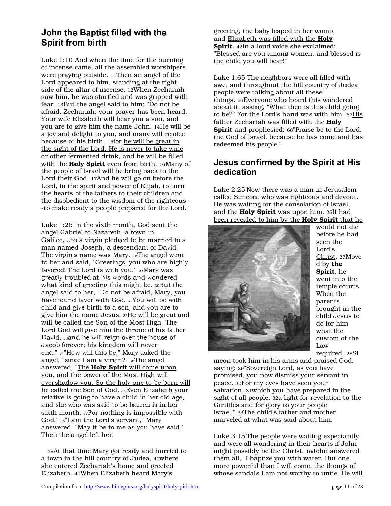#### John the Baptist filled with the **Spirit from birth**

Luke 1:10 And when the time for the burning of incense came, all the assembled worshipers were praying outside. 11Then an angel of the Lord appeared to him, standing at the right side of the altar of incense. 12When Zechariah saw him, he was startled and was gripped with fear. 13But the angel said to him: "Do not be afraid, Zechariah; your prayer has been heard. Your wife Elizabeth will bear you a son, and you are to give him the name John. 14He will be a joy and delight to you, and many will rejoice because of his birth, 15for he will be great in the sight of the Lord. He is never to take wine or other fermented drink, and he will be filled with the **Holy Spirit** even from birth. 16Many of the people of Israel will he bring back to the Lord their God. 17And he will go on before the Lord, in the spirit and power of Elijah, to turn the hearts of the fathers to their children and the disobedient to the wisdom of the righteous - -to make ready a people prepared for the Lord."

Luke 1:26 In the sixth month, God sent the angel Gabriel to Nazareth, a town in Galilee,  $27$ to a virgin pledged to be married to a man named Joseph, a descendant of David. The virgin's name was Mary. 28The angel went to her and said, "Greetings, you who are highly favored! The Lord is with you." 29Mary was greatly troubled at his words and wondered what kind of greeting this might be. 30But the angel said to her, "Do not be afraid, Mary, you have found favor with God. 31You will be with child and give birth to a son, and you are to give him the name Jesus.  $32$ He will be great and will be called the Son of the Most High. The Lord God will give him the throne of his father David, sand he will reign over the house of Jacob forever; his kingdom will never end." 34"How will this be," Mary asked the angel, "since I am a virgin?"  $35$ The angel answered, "The Holy Spirit will come upon you, and the power of the Most High will overshadow you. So the holy one to be born will be called the Son of God. 36 Even Elizabeth your relative is going to have a child in her old age, and she who was said to be barren is in her sixth month.  $37$ For nothing is impossible with God." 38"I am the Lord's servant." Mary answered. "May it be to me as you have said." Then the angel left her.

 39At that time Mary got ready and hurried to a town in the hill country of Judea, 40where she entered Zechariah's home and greeted Elizabeth. 41When Elizabeth heard Mary's

greeting, the baby leaped in her womb, and Elizabeth was filled with the Holy Spirit. 42In a loud voice she exclaimed: "Blessed are you among women, and blessed is the child you will bear!"

Luke 1:65 The neighbors were all filled with awe, and throughout the hill country of Judea people were talking about all these things. 66Everyone who heard this wondered about it, asking, "What then is this child going to be?" For the Lord's hand was with him. 67His father Zechariah was filled with the Holy Spirit and prophesied: 68"Praise be to the Lord, the God of Israel, because he has come and has redeemed his people."

#### Jesus confirmed by the Spirit at His dedication 3\*3/~-)/&(

Luke 2:25 Now there was a man in Jerusalem called Simeon, who was righteous and devout. He was waiting for the consolation of Israel, and the **Holy Spirit** was upon him. 26It had been revealed to him by the **Holy Spirit** that he



would not die before he had seen the Lord's Christ. 27Move d by the Spirit, he went into the temple courts. When the parents brought in the child Jesus to do for him what the custom of the Law required, 28Si

meon took him in his arms and praised God, saying: 29"Sovereign Lord, as you have promised, you now dismiss your servant in peace. 30For my eyes have seen your salvation, 31which you have prepared in the sight of all people, 32a light for revelation to the Gentiles and for glory to your people Israel." 33The child's father and mother marveled at what was said about him.

Luke 3:15 The people were waiting expectantly and were all wondering in their hearts if John might possibly be the Christ. 16John answered them all, "I baptize you with water. But one more powerful than I will come, the thongs of whose sandals I am not worthy to untie. He will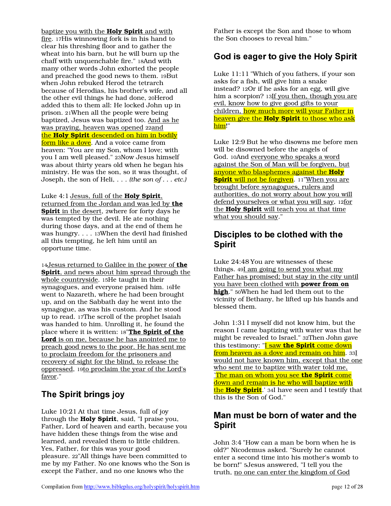baptize you with the **Holy Spirit** and with fire. 17His winnowing fork is in his hand to clear his threshing floor and to gather the wheat into his barn, but he will burn up the chaff with unquenchable fire." 18And with many other words John exhorted the people and preached the good news to them. 19But when John rebuked Herod the tetrarch because of Herodias, his brother's wife, and all the other evil things he had done, 20Herod added this to them all: He locked John up in prison. 21When all the people were being baptized, Jesus was baptized too. And as he was praying, heaven was opened 22and the Holy Spirit descended on him in bodily form like a dove. And a voice came from heaven: "You are my Son, whom I love; with you I am well pleased." 23Now Jesus himself was about thirty years old when he began his ministry. He was the son, so it was thought, of Joseph, the son of Heli, . . . *(the son of . . . etc.)*

Luke 4:1 Jesus, full of the Holy Spirit. returned from the Jordan and was led by the Spirit in the desert, 2where for forty days he was tempted by the devil. He ate nothing during those days, and at the end of them he was hungry. . . . 13When the devil had finished all this tempting, he left him until an opportune time.

14 Jesus returned to Galilee in the power of the Spirit, and news about him spread through the whole countryside. 15He taught in their synagogues, and everyone praised him. 16He went to Nazareth, where he had been brought up, and on the Sabbath day he went into the synagogue, as was his custom. And he stood up to read. 17The scroll of the prophet Isaiah was handed to him. Unrolling it, he found the place where it is written: 18"The Spirit of the Lord is on me, because he has anointed me to preach good news to the poor. He has sent me to proclaim freedom for the prisoners and recovery of sight for the blind, to release the oppressed, 19to proclaim the year of the Lord's favor."

## The Spirit brings joy

Luke 10:21 At that time Jesus, full of joy through the Holy Spirit, said, "I praise you, Father, Lord of heaven and earth, because you have hidden these things from the wise and learned, and revealed them to little children. Yes, Father, for this was your good pleasure. 22"All things have been committed to me by my Father. No one knows who the Son is except the Father, and no one knows who the

Father is except the Son and those to whom the Son chooses to reveal him."

## God is eager to give the Holy Spirit

Luke 11:11 "Which of you fathers, if your son asks for a fish, will give him a snake instead? 12Or if he asks for an egg, will give him a scorpion? 13If you then, though you are evil, know how to give good gifts to your children, how much more will your Father in heaven give the **Holy Spirit** to those who ask him!"

Luke 12:9 But he who disowns me before men will be disowned before the angels of God. 10And everyone who speaks a word against the Son of Man will be forgiven, but anyone who blasphemes against the Holy **Spirit** will not be forgiven. 11"When you are brought before synagogues, rulers and authorities, do not worry about how you will defend yourselves or what you will say, 12for the **Holy Spirit** will teach you at that time what you should say."

#### Disciples to be clothed with the **Spirit** ¡

Luke 24:48 You are witnesses of these things. 49I am going to send you what my Father has promised; but stay in the city until you have been clothed with **power from on** high." 50When he had led them out to the vicinity of Bethany, he lifted up his hands and blessed them.

John 1:31 I myself did not know him, but the reason I came baptizing with water was that he might be revealed to Israel." 32Then John gave this testimony: "I saw the Spirit come down from heaven as a dove and remain on him. 33I would not have known him, except that the one who sent me to baptize with water told me, <u>The man on whom you see the Spirit come</u> down and remain is he who will baptize with the Holy Spirit.' 34I have seen and I testify that this is the Son of God."

#### Man must be born of water and the **Spirit**

John 3:4 "How can a man be born when he is old?" Nicodemus asked. "Surely he cannot enter a second time into his mother's womb to be born!" 5Jesus answered, "I tell you the truth, no one can enter the kingdom of God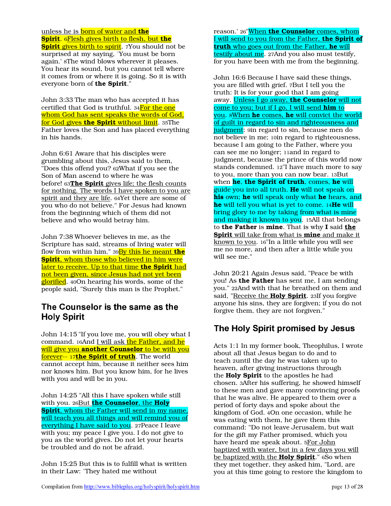unless he is **born of water and the Spirit.** 6Flesh gives birth to flesh, but the **Spirit** gives birth to spirit. 7You should not be surprised at my saying, You must be born again.' 8The wind blows wherever it pleases. You hear its sound, but you cannot tell where it comes from or where it is going. So it is with everyone born of the Spirit."

John 3:33 The man who has accepted it has certified that God is truthful. 34For the one whom God has sent speaks the words of God, for God gives the Spirit without limit. 35The Father loves the Son and has placed everything in his hands.

John 6:61 Aware that his disciples were grumbling about this, Jesus said to them, "Does this offend you? 62What if you see the Son of Man ascend to where he was before! 63The Spirit gives life; the flesh counts for nothing. The words I have spoken to you are spirit and they are life. 64Yet there are some of you who do not believe." For Jesus had known from the beginning which of them did not believe and who would betray him.

John 7:38 Whoever believes in me, as the Scripture has said, streams of living water will flow from within him." 39**By this he meant the** Spirit, whom those who believed in him were later to receive. Up to that time the Spirit had not been given, since Jesus had not yet been glorified. 40On hearing his words, some of the people said, "Surely this man is the Prophet."

#### The Counselor is the same as the **Holy Spirit**

John 14:15 "If you love me, you will obey what I command. 16And I will ask the Father, and he will give you **another Counselor** to be with you forever-- 17the Spirit of truth. The world cannot accept him, because it neither sees him nor knows him. But you know him, for he lives with you and will be in you.

John 14:25 "All this I have spoken while still with you. 26But **the Counselor**, the Holy Spirit, whom the Father will send in my name, will teach you all things and will remind you of everything I have said to you. 27Peace I leave with you; my peace I give you. I do not give to you as the world gives. Do not let your hearts be troubled and do not be afraid.

John 15:25 But this is to fulfill what is written in their Law: `They hated me without

reason.' 26"When the Counselor comes, whom I will send to you from the Father, the Spirit of truth who goes out from the Father, he will testify about me. 27And you also must testify, for you have been with me from the beginning.

John 16:6 Because I have said these things, you are filled with grief. 7But I tell you the truth: It is for your good that I am going away. Unless I go away, the Counselor will not come to you; but if I go, I will send **him** to you. 8When he comes, he will convict the world of guilt in regard to sin and righteousness and judgment: 9in regard to sin, because men do not believe in me; 10in regard to righteousness, because I am going to the Father, where you can see me no longer; 11and in regard to judgment, because the prince of this world now stands condemned. 12"I have much more to say to you, more than you can now bear. 13But when he, the Spirit of truth, comes, he will guide you into all truth. He will not speak on his own; he will speak only what he hears, and he will tell you what is yet to come. 14He will bring glory to me by taking from what is mine and making it known to you. 15All that belongs to the Father is mine. That is why I said the **Spirit** will take from what is **mine** and make it known to you. 16"In a little while you will see me no more, and then after a little while you will see me."

John 20:21 Again Jesus said, "Peace be with you! As the Father has sent me, I am sending you." 22And with that he breathed on them and said, "Receive the **Holy Spirit**. 23If you forgive anyone his sins, they are forgiven; if you do not forgive them, they are not forgiven."

#### The Holy Spirit promised by Jesus

Acts 1:1 In my former book, Theophilus, I wrote about all that Jesus began to do and to teach 2until the day he was taken up to heaven, after giving instructions through the **Holy Spirit** to the apostles he had chosen. 3After his suffering, he showed himself to these men and gave many convincing proofs that he was alive. He appeared to them over a period of forty days and spoke about the kingdom of God. 4On one occasion, while he was eating with them, he gave them this command: "Do not leave Jerusalem, but wait for the gift my Father promised, which you have heard me speak about. 5For John baptized with water, but in a few days you will be baptized with the **Holy Spirit**." 6So when they met together, they asked him, "Lord, are you at this time going to restore the kingdom to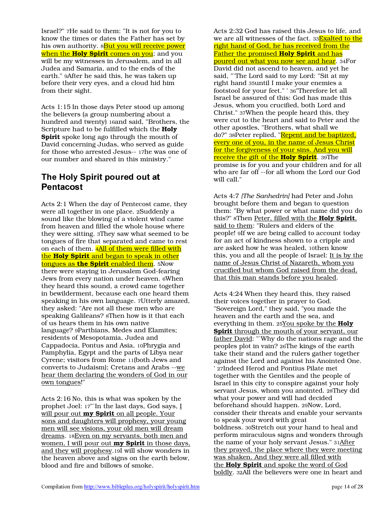Israel?" 7He said to them: "It is not for you to know the times or dates the Father has set by his own authority. 8**But you will receive power** when the Holy Spirit comes on you; and you will be my witnesses in Jerusalem, and in all Judea and Samaria, and to the ends of the earth." 9After he said this, he was taken up before their very eyes, and a cloud hid him from their sight.

Acts 1:15 In those days Peter stood up among the believers (a group numbering about a hundred and twenty) 16and said, "Brothers, the Scripture had to be fulfilled which the Holy **Spirit** spoke long ago through the mouth of David concerning Judas, who served as guide for those who arrested Jesus-- 17he was one of our number and shared in this ministry."

#### ÿ - -  - **Pentacost**

Acts 2:1 When the day of Pentecost came, they were all together in one place. 2Suddenly a sound like the blowing of a violent wind came from heaven and filled the whole house where they were sitting. 3They saw what seemed to be tongues of fire that separated and came to rest on each of them. 4All of them were filled with the Holy Spirit and began to speak in other tongues as the Spirit enabled them. 5Now there were staying in Jerusalem God-fearing Jews from every nation under heaven. 6When they heard this sound, a crowd came together in bewilderment, because each one heard them speaking in his own language. 7Utterly amazed, they asked: "Are not all these men who are speaking Galileans? 8Then how is it that each of us hears them in his own native language? 9Parthians, Medes and Elamites; residents of Mesopotamia, Judea and Cappadocia, Pontus and Asia, 10Phrygia and Pamphylia, Egypt and the parts of Libya near Cyrene; visitors from Rome 11(both Jews and converts to Judaism); Cretans and Arabs --we hear them declaring the wonders of God in our own tongues!"

Acts 2:16 No, this is what was spoken by the prophet Joel: 17"`In the last days, God says, I will pour out **my Spirit** on all people. Your sons and daughters will prophesy, your young men will see visions, your old men will dream dreams. 18Even on my servants, both men and women, I will pour out **my Spirit** in those days, and they will prophesy.19I will show wonders in the heaven above and signs on the earth below, blood and fire and billows of smoke.

Acts 2:32 God has raised this Jesus to life, and we are all witnesses of the fact. 33Exalted to the right hand of God, he has received from the Father the promised **Holy Spirit** and has poured out what you now see and hear. 34For David did not ascend to heaven, and yet he said, "`The Lord said to my Lord: "Sit at my right hand 35until I make your enemies a footstool for your feet." ' 36"Therefore let all Israel be assured of this: God has made this Jesus, whom you crucified, both Lord and Christ." 37When the people heard this, they were cut to the heart and said to Peter and the other apostles, "Brothers, what shall we do?" 38Peter replied, "Repent and be baptized, every one of you, in the name of Jesus Christ for the forgiveness of your sins. And you will receive the gift of the **Holy Spirit**. 39The promise is for you and your children and for all who are far off --for all whom the Lord our God will call."

Acts 4:7 *[The Sanhedrin]* had Peter and John brought before them and began to question them: "By what power or what name did you do this?" 8Then Peter, filled with the Holy Spirit, said to them: "Rulers and elders of the people! 9If we are being called to account today for an act of kindness shown to a cripple and are asked how he was healed, 10then know this, you and all the people of Israel: It is by the name of Jesus Christ of Nazareth, whom you crucified but whom God raised from the dead, that this man stands before you healed.

Acts 4:24 When they heard this, they raised their voices together in prayer to God. "Sovereign Lord," they said, "you made the heaven and the earth and the sea, and everything in them. 25You spoke by the **Holy Spirit** through the mouth of your servant, our father David: "`Why do the nations rage and the peoples plot in vain? 26The kings of the earth take their stand and the rulers gather together against the Lord and against his Anointed One. ' 27Indeed Herod and Pontius Pilate met together with the Gentiles and the people of Israel in this city to conspire against your holy servant Jesus, whom you anointed. 28They did what your power and will had decided beforehand should happen. 29Now, Lord, consider their threats and enable your servants to speak your word with great boldness. 30Stretch out your hand to heal and perform miraculous signs and wonders through the name of your holy servant Jesus." 31After they prayed, the place where they were meeting was shaken. And they were all filled with the **Holy Spirit** and spoke the word of God boldly. 32All the believers were one in heart and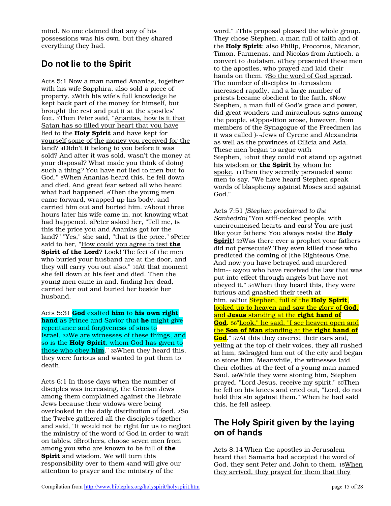mind. No one claimed that any of his possessions was his own, but they shared everything they had.

#### Do not lie to the Spirit

Acts 5:1 Now a man named Ananias, together with his wife Sapphira, also sold a piece of property. 2With his wife's full knowledge he kept back part of the money for himself, but brought the rest and put it at the apostles' feet. 3Then Peter said, "Ananias, how is it that Satan has so filled your heart that you have lied to the **Holy Spirit** and have kept for yourself some of the money you received for the land? 4Didn't it belong to you before it was sold? And after it was sold, wasn't the money at your disposal? What made you think of doing such a thing? You have not lied to men but to God." 5When Ananias heard this, he fell down and died. And great fear seized all who heard what had happened. 6Then the young men came forward, wrapped up his body, and carried him out and buried him. 7About three hours later his wife came in, not knowing what had happened. 8Peter asked her, "Tell me, is this the price you and Ananias got for the land?" "Yes," she said, "that is the price." 9Peter said to her, "How could you agree to test **the** Spirit of the Lord? Look! The feet of the men who buried your husband are at the door, and they will carry you out also." 10At that moment she fell down at his feet and died. Then the young men came in and, finding her dead, carried her out and buried her beside her husband.

Acts 5:31 God exalted him to his own right hand as Prince and Savior that he might give repentance and forgiveness of sins to Israel. 32We are witnesses of these things, and so is the Holy Spirit, whom God has given to those who obey him." 33When they heard this, they were furious and wanted to put them to death.

Acts 6:1 In those days when the number of disciples was increasing, the Grecian Jews among them complained against the Hebraic Jews because their widows were being overlooked in the daily distribution of food. 2So the Twelve gathered all the disciples together and said, "It would not be right for us to neglect the ministry of the word of God in order to wait on tables. 3Brothers, choose seven men from among you who are known to be full of **the** Spirit and wisdom. We will turn this responsibility over to them 4and will give our attention to prayer and the ministry of the

word." 5This proposal pleased the whole group. They chose Stephen, a man full of faith and of the **Holy Spirit**; also Philip, Procorus, Nicanor, Timon, Parmenas, and Nicolas from Antioch, a convert to Judaism. 6They presented these men to the apostles, who prayed and laid their hands on them. 7So the word of God spread. The number of disciples in Jerusalem increased rapidly, and a large number of priests became obedient to the faith. 8Now Stephen, a man full of God's grace and power, did great wonders and miraculous signs among the people. 9Opposition arose, however, from members of the Synagogue of the Freedmen (as it was called )--Jews of Cyrene and Alexandria as well as the provinces of Cilicia and Asia. These men began to argue with Stephen, 10but they could not stand up against his wisdom or the Spirit by whom he spoke. 11Then they secretly persuaded some men to say, "We have heard Stephen speak words of blasphemy against Moses and against God."

Acts 7:51 *[Stephen proclaimed to the Sanhedrin]* "You stiff-necked people, with uncircumcised hearts and ears! You are just like your fathers: You always resist the Holy Spirit! 52Was there ever a prophet your fathers did not persecute? They even killed those who predicted the coming of ]the Righteous One. And now you have betrayed and murdered him-- 53you who have received the law that was put into effect through angels but have not obeyed it." 54When they heard this, they were furious and gnashed their teeth at him. 55But *Stephen, full of the Holy Spirit.* looked up to heaven and saw the glory of God, and **Jesus** standing at the **right hand of** God. 56"Look," he said, "I see heaven open and the Son of Man standing at the right hand of God." 57At this they covered their ears and, yelling at the top of their voices, they all rushed at him, 58dragged him out of the city and began to stone him. Meanwhile, the witnesses laid their clothes at the feet of a young man named Saul. 59While they were stoning him, Stephen prayed, "Lord Jesus, receive my spirit." 60Then he fell on his knees and cried out, "Lord, do not hold this sin against them." When he had said this, he fell asleep.

#### The Holy Spirit given by the laying on of hands ,- ,> 3=-?@

Acts 8:14 When the apostles in Jerusalem heard that Samaria had accepted the word of God, they sent Peter and John to them. 15When they arrived, they prayed for them that they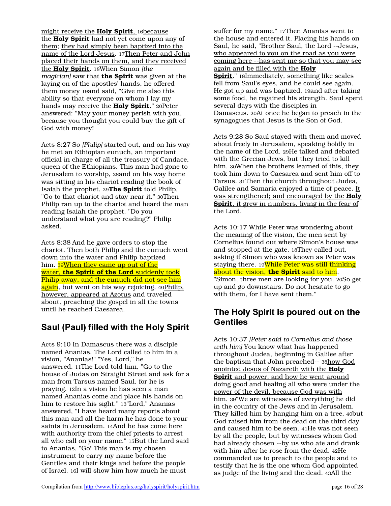might receive the **Holy Spirit**, 16because the **Holy Spirit** had not yet come upon any of them; they had simply been baptized into the name of the Lord Jesus. 17Then Peter and John placed their hands on them, and they received the Holy Spirit. 18When Simon *[the magician]* saw that the Spirit was given at the laying on of the apostles' hands, he offered them money 19and said, "Give me also this ability so that everyone on whom I lay my hands may receive the **Holy Spirit**." 20Peter answered: "May your money perish with you, because you thought you could buy the gift of God with money!

Acts 8:27 So *[Philip]* started out, and on his way he met an Ethiopian eunuch, an important official in charge of all the treasury of Candace, queen of the Ethiopians. This man had gone to Jerusalem to worship, 28and on his way home was sitting in his chariot reading the book of Isaiah the prophet. 29The Spirit told Philip, "Go to that chariot and stay near it." 30Then Philip ran up to the chariot and heard the man reading Isaiah the prophet. "Do you understand what you are reading?" Philip asked.

Acts 8:38 And he gave orders to stop the chariot. Then both Philip and the eunuch went down into the water and Philip baptized him. 39When they came up out of the water, the Spirit of the Lord suddenly took Philip away, and the eunuch did not see him again, but went on his way rejoicing. 40Philip, however, appeared at Azotus and traveled about, preaching the gospel in all the towns until he reached Caesarea.

#### Saul (Paul) filled with the Holy Spirit

Acts 9:10 In Damascus there was a disciple named Ananias. The Lord called to him in a vision, "Ananias!" "Yes, Lord," he answered. 11The Lord told him, "Go to the house of Judas on Straight Street and ask for a man from Tarsus named Saul, for he is praying. 12In a vision he has seen a man named Ananias come and place his hands on him to restore his sight." 13"Lord," Ananias answered, "I have heard many reports about this man and all the harm he has done to your saints in Jerusalem. 14And he has come here with authority from the chief priests to arrest all who call on your name." 15But the Lord said to Ananias, "Go! This man is my chosen instrument to carry my name before the Gentiles and their kings and before the people of Israel. 16I will show him how much he must

suffer for my name." 17Then Ananias went to the house and entered it. Placing his hands on Saul, he said, "Brother Saul, the Lord --Jesus, who appeared to you on the road as you were coming here --has sent me so that you may see again and be filled with the Holy Spirit." 18Immediately, something like scales fell from Saul's eyes, and he could see again. He got up and was baptized, 19and after taking some food, he regained his strength. Saul spent several days with the disciples in Damascus. 20At once he began to preach in the synagogues that Jesus is the Son of God.

Acts 9:28 So Saul stayed with them and moved about freely in Jerusalem, speaking boldly in the name of the Lord. 29He talked and debated with the Grecian Jews, but they tried to kill him. 30When the brothers learned of this, they took him down to Caesarea and sent him off to Tarsus. 31Then the church throughout Judea, Galilee and Samaria enjoyed a time of peace. It was strengthened; and encouraged by the **Holy** Spirit, it grew in numbers, living in the fear of the Lord.

Acts 10:17 While Peter was wondering about the meaning of the vision, the men sent by Cornelius found out where Simon's house was and stopped at the gate. 18They called out, asking if Simon who was known as Peter was staying there. 19While Peter was still thinking about the vision, the Spirit said to him, "Simon, three men are looking for you. 20So get

up and go downstairs. Do not hesitate to go with them, for I have sent them."

#### The Holy Spirit is poured out on the **Gentiles**

Acts 10:37 *[Peter said to Cornelius and those with him]* You know what has happened throughout Judea, beginning in Galilee after the baptism that John preached-- 38how God anointed Jesus of Nazareth with the Holy **Spirit** and power, and how he went around doing good and healing all who were under the power of the devil, because God was with him. 39"We are witnesses of everything he did in the country of the Jews and in Jerusalem. They killed him by hanging him on a tree, 40but God raised him from the dead on the third day and caused him to be seen. 41He was not seen by all the people, but by witnesses whom God had already chosen --by us who ate and drank with him after he rose from the dead. 42He commanded us to preach to the people and to testify that he is the one whom God appointed as judge of the living and the dead. 43All the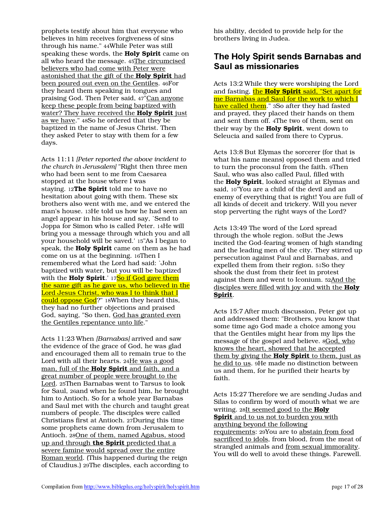prophets testify about him that everyone who believes in him receives forgiveness of sins through his name." 44While Peter was still speaking these words, the **Holy Spirit** came on all who heard the message. 45The circumcised believers who had come with Peter were astonished that the gift of the **Holy Spirit** had been poured out even on the Gentiles. 46For they heard them speaking in tongues and praising God. Then Peter said, 47"Can anyone keep these people from being baptized with water? They have received the **Holy Spirit** just as we have." 48So he ordered that they be baptized in the name of Jesus Christ. Then they asked Peter to stay with them for a few days.

Acts 11:11 *[Peter reported the above incident to the church in Jerusalem]* "Right then three men who had been sent to me from Caesarea stopped at the house where I was staying. 12**The Spirit** told me to have no hesitation about going with them. These six brothers also went with me, and we entered the man's house. 13He told us how he had seen an angel appear in his house and say, `Send to Joppa for Simon who is called Peter. 14He will bring you a message through which you and all your household will be saved.' 15"As I began to speak, the **Holy Spirit** came on them as he had come on us at the beginning. 16Then I remembered what the Lord had said: `John baptized with water, but you will be baptized with the **Holy Spirit.'** 17So if God gave them the same gift as he gave us, who believed in the Lord Jesus Christ, who was I to think that I could oppose God?" 18When they heard this, they had no further objections and praised God, saying, "So then, God has granted even the Gentiles repentance unto life."

Acts 11:23 When *[Barnabas]* arrived and saw the evidence of the grace of God, he was glad and encouraged them all to remain true to the Lord with all their hearts. 24He was a good man, full of the **Holy Spirit** and faith, and a great number of people were brought to the Lord. 25Then Barnabas went to Tarsus to look for Saul, 26and when he found him, he brought him to Antioch. So for a whole year Barnabas and Saul met with the church and taught great numbers of people. The disciples were called Christians first at Antioch. 27During this time some prophets came down from Jerusalem to Antioch. 28One of them, named Agabus, stood up and through the Spirit predicted that a severe famine would spread over the entire Roman world. (This happened during the reign of Claudius.) 29The disciples, each according to

his ability, decided to provide help for the brothers living in Judea.

#### The Holy Spirit sends Barnabas and **Saul as missionaries**

Acts 13:2 While they were worshiping the Lord and fasting, the Holy Spirit said, "Set apart for me Barnabas and Saul for the work to which I have called them." 3So after they had fasted and prayed, they placed their hands on them and sent them off. 4The two of them, sent on their way by the **Holy Spirit**, went down to Seleucia and sailed from there to Cyprus.

Acts 13:8 But Elymas the sorcerer (for that is what his name means) opposed them and tried to turn the proconsul from the faith. 9Then Saul, who was also called Paul, filled with the **Holy Spirit**, looked straight at Elymas and said, 10"You are a child of the devil and an enemy of everything that is right! You are full of all kinds of deceit and trickery. Will you never stop perverting the right ways of the Lord?

Acts 13:49 The word of the Lord spread through the whole region. 50But the Jews incited the God-fearing women of high standing and the leading men of the city. They stirred up persecution against Paul and Barnabas, and expelled them from their region. 51So they shook the dust from their feet in protest against them and went to Iconium. 52And the disciples were filled with joy and with the Holy Spirit.

Acts 15:7 After much discussion, Peter got up and addressed them: "Brothers, you know that some time ago God made a choice among you that the Gentiles might hear from my lips the message of the gospel and believe. 8God, who knows the heart, showed that he accepted them by giving the **Holy Spirit** to them, just as he did to us. 9He made no distinction between us and them, for he purified their hearts by faith.

Acts 15:27 Therefore we are sending Judas and Silas to confirm by word of mouth what we are writing. 28It seemed good to the **Holy Spirit** and to us not to burden you with anything beyond the following requirements: 29You are to abstain from food sacrificed to idols, from blood, from the meat of strangled animals and from sexual immorality. You will do well to avoid these things. Farewell.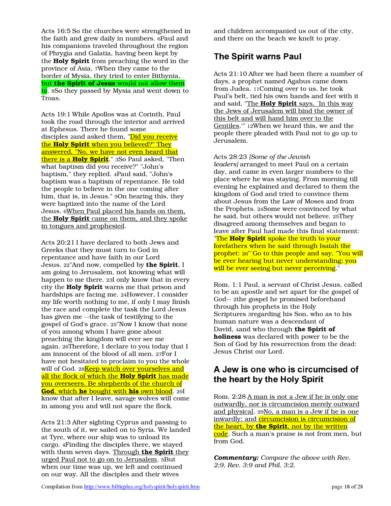Acts 16:5 So the churches were strengthened in the faith and grew daily in numbers. 6Paul and his companions traveled throughout the region of Phrygia and Galatia, having been kept by the **Holy Spirit** from preaching the word in the province of Asia. 7When they came to the border of Mysia, they tried to enter Bithynia, but the Spirit of Jesus would not allow them to. 8So they passed by Mysia and went down to Troas.

Acts 19:1 While Apollos was at Corinth, Paul took the road through the interior and arrived at Ephesus. There he found some disciples 2and asked them, "<mark>Did you receive</mark> the Holy Spirit when you believed?" They answered, "No, we have not even heard that there is a Holy Spirit." 3So Paul asked, "Then what baptism did you receive?" "John's baptism," they replied. 4Paul said, "John's baptism was a baptism of repentance. He told the people to believe in the one coming after him, that is, in Jesus." 5On hearing this, they were baptized into the name of the Lord Jesus. 6When Paul placed his hands on them, the Holy Spirit came on them, and they spoke in tongues and prophesied.

Acts 20:21 I have declared to both Jews and Greeks that they must turn to God in repentance and have faith in our Lord Jesus. 22"And now, compelled by the Spirit, I am going to Jerusalem, not knowing what will happen to me there. 23I only know that in every city the Holy Spirit warns me that prison and hardships are facing me. 24However, I consider my life worth nothing to me, if only I may finish the race and complete the task the Lord Jesus has given me --the task of testifying to the gospel of God's grace. 25"Now I know that none of you among whom I have gone about preaching the kingdom will ever see me again. 26Therefore, I declare to you today that I am innocent of the blood of all men. 27For I have not hesitated to proclaim to you the whole will of God. 28Keep watch over yourselves and all the flock of which the **Holy Spirit** has made you overseers. Be shepherds of the church of God, which he bought with his own blood. 29I know that after I leave, savage wolves will come in among you and will not spare the flock.

Acts 21:3 After sighting Cyprus and passing to the south of it, we sailed on to Syria. We landed at Tyre, where our ship was to unload its cargo. 4Finding the disciples there, we stayed with them seven days. Through **the Spirit** they urged Paul not to go on to Jerusalem. 5But when our time was up, we left and continued on our way. All the disciples and their wives

and children accompanied us out of the city, and there on the beach we knelt to pray.

#### The Spirit warns Paul

Acts 21:10 After we had been there a number of days, a prophet named Agabus came down from Judea. 11Coming over to us, he took Paul's belt, tied his own hands and feet with it and said, "The **Holy Spirit** says, `In this way the Jews of Jerusalem will bind the owner of this belt and will hand him over to the Gentiles.'" 12When we heard this, we and the people there pleaded with Paul not to go up to Jerusalem.

Acts 28:23 *[Some of the Jewish leaders]* arranged to meet Paul on a certain day, and came in even larger numbers to the place where he was staying. From morning till evening he explained and declared to them the kingdom of God and tried to convince them about Jesus from the Law of Moses and from the Prophets. 24Some were convinced by what he said, but others would not believe. 25They disagreed among themselves and began to leave after Paul had made this final statement: "The **Holy Spirit** spoke the truth to your forefathers when he said through Isaiah the prophet: 26"`Go to this people and say, "You will be ever hearing but never understanding; you will be ever seeing but never perceiving."

Rom. 1:1 Paul, a servant of Christ Jesus, called to be an apostle and set apart for the gospel of God-- 2the gospel he promised beforehand through his prophets in the Holy Scriptures 3regarding his Son, who as to his human nature was a descendant of David, 4and who through **the Spirit of** holiness was declared with power to be the Son of God by his resurrection from the dead: Jesus Christ our Lord.

# the heart by the Holy Spirit

Rom. 2:28 A man is not a Jew if he is only one outwardly, nor is circumcision merely outward and physical. 29No, a man is a Jew if he is one inwardly; and circumcision is circumcision of the heart, by **the Spirit**, not by the written code. Such a man's praise is not from men, but from God.

*Commentary: Compare the above with Rev. 2:9, Rev. 3:9 and Phil. 3:2.*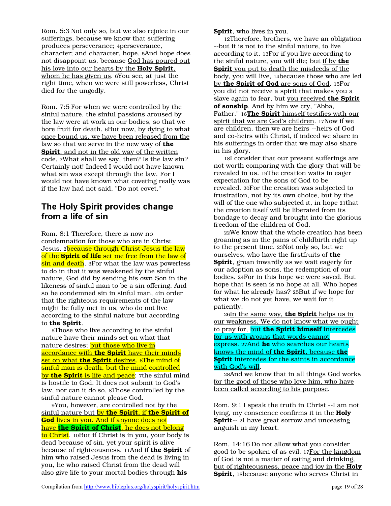Rom. 5:3 Not only so, but we also rejoice in our sufferings, because we know that suffering produces perseverance; 4perseverance, character; and character, hope. 5And hope does not disappoint us, because God has poured out his love into our hearts by the **Holy Spirit**, whom he has given us. 6You see, at just the right time, when we were still powerless, Christ died for the ungodly.

Rom. 7:5 For when we were controlled by the sinful nature, the sinful passions aroused by the law were at work in our bodies, so that we bore fruit for death. 6But now, by dying to what once bound us, we have been released from the law so that we serve in the new way of the Spirit, and not in the old way of the written code. 7What shall we say, then? Is the law sin? Certainly not! Indeed I would not have known what sin was except through the law. For I would not have known what coveting really was if the law had not said, "Do not covet."

#### The Holy Spirit provides change from a life of sin

Rom. 8:1 Therefore, there is now no condemnation for those who are in Christ Jesus, 2**because through Christ Jesus the law** of the **Spirit of life** set me free from the law of sin and death. 3For what the law was powerless to do in that it was weakened by the sinful nature, God did by sending his own Son in the likeness of sinful man to be a sin offering. And so he condemned sin in sinful man, 4in order that the righteous requirements of the law might be fully met in us, who do not live according to the sinful nature but according to the Spirit.

 5Those who live according to the sinful nature have their minds set on what that nature desires; but those who live in accordance with the Spirit have their minds set on what the Spirit desires. 6The mind of sinful man is death, but the mind controlled by the Spirit is life and peace; 7the sinful mind is hostile to God. It does not submit to God's law, nor can it do so. 8Those controlled by the sinful nature cannot please God.

 9You, however, are controlled not by the sinful nature but by the Spirit, if the Spirit of God lives in you. And if anyone does not have the Spirit of Christ, he does not belong to Christ. 10But if Christ is in you, your body is dead because of sin, yet your spirit is alive because of righteousness. 11And if the Spirit of him who raised Jesus from the dead is living in you, he who raised Christ from the dead will also give life to your mortal bodies through **his** 

Spirit, who lives in you.

 12Therefore, brothers, we have an obligation --but it is not to the sinful nature, to live according to it. 13For if you live according to the sinful nature, you will die; but <u>if by the</u> **Spirit** you put to death the misdeeds of the body, you will live, 14because those who are led by the Spirit of God are sons of God. 15For you did not receive a spirit that makes you a slave again to fear, but you received the Spirit of sonship. And by him we cry, "Abba, Father." 16The Spirit himself testifies with our spirit that we are God's children. 17Now if we are children, then we are heirs --heirs of God and co-heirs with Christ, if indeed we share in his sufferings in order that we may also share in his glory.

 18I consider that our present sufferings are not worth comparing with the glory that will be revealed in us. 19The creation waits in eager expectation for the sons of God to be revealed. 20For the creation was subjected to frustration, not by its own choice, but by the will of the one who subjected it, in hope 21that the creation itself will be liberated from its bondage to decay and brought into the glorious freedom of the children of God.

 22We know that the whole creation has been groaning as in the pains of childbirth right up to the present time. 23Not only so, but we ourselves, who have the firstfruits of the Spirit, groan inwardly as we wait eagerly for our adoption as sons, the redemption of our bodies. 24For in this hope we were saved. But hope that is seen is no hope at all. Who hopes for what he already has? 25But if we hope for what we do not yet have, we wait for it patiently.

26In the same way, the Spirit helps us in our weakness. We do not know what we ought to pray for, but the Spirit himself intercedes for us with groans that words cannot express. 27And he who searches our hearts knows the mind of the Spirit, because the Spirit intercedes for the saints in accordance with God's will.

 28And we know that in all things God works for the good of those who love him, who have been called according to his purpose.

Rom. 9:1 I speak the truth in Christ --I am not lying, my conscience confirms it in the **Holy Spirit**-- 2I have great sorrow and unceasing anguish in my heart.

Rom. 14:16 Do not allow what you consider good to be spoken of as evil. 17For the kingdom of God is not a matter of eating and drinking, but of righteousness, peace and joy in the **Holy** Spirit, 18because anyone who serves Christ in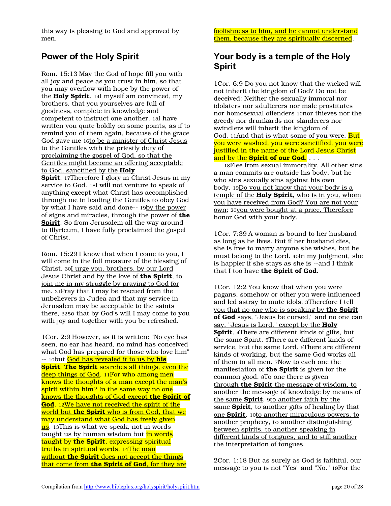this way is pleasing to God and approved by men.

#### 0 "# \$%&&

Rom. 15:13 May the God of hope fill you with all joy and peace as you trust in him, so that you may overflow with hope by the power of the **Holy Spirit**. 14I myself am convinced, my brothers, that you yourselves are full of goodness, complete in knowledge and competent to instruct one another. 15I have written you quite boldly on some points, as if to remind you of them again, because of the grace God gave me 16to be a minister of Christ Jesus to the Gentiles with the priestly duty of proclaiming the gospel of God, so that the Gentiles might become an offering acceptable to God, sanctified by the Holy

Spirit. 17Therefore I glory in Christ Jesus in my service to God. 18I will not venture to speak of anything except what Christ has accomplished through me in leading the Gentiles to obey God by what I have said and done-- 19by the power of signs and miracles, through the power of **the** Spirit. So from Jerusalem all the way around to Illyricum, I have fully proclaimed the gospel of Christ.

Rom. 15:29 I know that when I come to you, I will come in the full measure of the blessing of Christ. 30I urge you, brothers, by our Lord Jesus Christ and by the love of the Spirit, to join me in my struggle by praying to God for me. 31Pray that I may be rescued from the unbelievers in Judea and that my service in Jerusalem may be acceptable to the saints there, 32so that by God's will I may come to you with joy and together with you be refreshed.

1Cor. 2:9 However, as it is written: "No eye has seen, no ear has heard, no mind has conceived what God has prepared for those who love him" -- 10but <mark>God has revealed it to us by **his**</mark> Spirit. The Spirit searches all things, even the deep things of God. 11For who among men knows the thoughts of a man except the man's spirit within him? In the same way no one knows the thoughts of God except the Spirit of God. 12We have not received the spirit of the world but the Spirit who is from God, that we may understand what God has freely given us. 13This is what we speak, not in words taught us by human wisdom but <mark>in words</mark> taught by **the Spirit**, expressing spiritual truths in spiritual words. 14The man without the Spirit does not accept the things that come from the Spirit of God, for they are

#### Your body is a temple of the Holy the state of the Holy **Spirit**

1Cor. 6:9 Do you not know that the wicked will not inherit the kingdom of God? Do not be deceived: Neither the sexually immoral nor idolaters nor adulterers nor male prostitutes nor homosexual offenders 10nor thieves nor the greedy nor drunkards nor slanderers nor swindlers will inherit the kingdom of God. 11And that is what some of you were. But you were washed, you were sanctified, you were justified in the name of the Lord Jesus Christ and by the **Spirit of our God.** . . .

 18Flee from sexual immorality. All other sins a man commits are outside his body, but he who sins sexually sins against his own body. 19Do you not know that your body is a temple of the **Holy Spirit**, who is in you, whom you have received from God? You are not your own; 20you were bought at a price. Therefore honor God with your body.

1Cor. 7:39 A woman is bound to her husband as long as he lives. But if her husband dies, she is free to marry anyone she wishes, but he must belong to the Lord. 40In my judgment, she is happier if she stays as she is --and I think that I too have the Spirit of God.

1Cor. 12:2 You know that when you were pagans, somehow or other you were influenced and led astray to mute idols. 3Therefore I tell you that no one who is speaking by **the Spirit** of God says, "Jesus be cursed," and no one can say, "Jesus is Lord," except by the **Holy Spirit.** 4There are different kinds of gifts, but the same Spirit. 5There are different kinds of service, but the same Lord. 6There are different kinds of working, but the same God works all of them in all men. 7Now to each one the manifestation of **the Spirit** is given for the common good. 8To one there is given through **the Spirit** the message of wisdom, to another the message of knowledge by means of the same **Spirit**, 9to another faith by the same **Spirit**, to another gifts of healing by that one **Spirit**, 10to another miraculous powers, to another prophecy, to another distinguishing between spirits, to another speaking in different kinds of tongues, and to still another the interpretation of tongues.

2Cor. 1:18 But as surely as God is faithful, our message to you is not "Yes" and "No." 19For the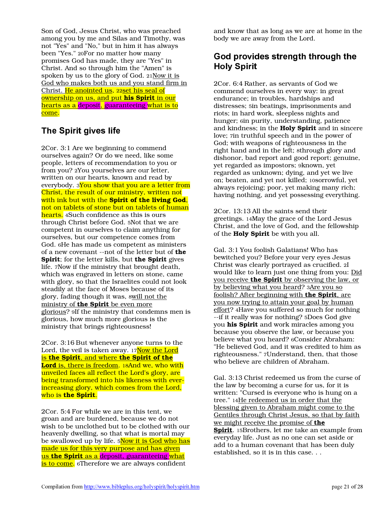Son of God, Jesus Christ, who was preached among you by me and Silas and Timothy, was not "Yes" and "No," but in him it has always been "Yes." 20For no matter how many promises God has made, they are "Yes" in Christ. And so through him the "Amen" is spoken by us to the glory of God. 21Now it is God who makes both us and you stand firm in Christ. He anointed us, 22set his seal of <u>ownership on us, and put **his Spirit** in our</u> hearts as a deposit, guaranteeing what is to come.

#### The Spirit gives life

2Cor. 3:1 Are we beginning to commend ourselves again? Or do we need, like some people, letters of recommendation to you or from you? 2You yourselves are our letter, written on our hearts, known and read by everybody. 3You show that you are a letter from Christ, the result of our ministry, written not with ink but with the Spirit of the living God, not on tablets of stone but on tablets of human hearts. 4Such confidence as this is ours through Christ before God. 5Not that we are competent in ourselves to claim anything for ourselves, but our competence comes from God. 6He has made us competent as ministers of a new covenant --not of the letter but of the Spirit; for the letter kills, but the Spirit gives life. 7Now if the ministry that brought death, which was engraved in letters on stone, came with glory, so that the Israelites could not look steadily at the face of Moses because of its glory, fading though it was, 8will not the ministry of the Spirit be even more glorious? 9If the ministry that condemns men is glorious, how much more glorious is the ministry that brings righteousness!

2Cor. 3:16 But whenever anyone turns to the Lord, the veil is taken away. 17Now the Lord is the Spirit, and where the Spirit of the Lord is, there is freedom. 18And we, who with unveiled faces all reflect the Lord's glory, are being transformed into his likeness with everincreasing glory, which comes from the Lord, who is the Spirit.

2Cor. 5:4 For while we are in this tent, we groan and are burdened, because we do not wish to be unclothed but to be clothed with our heavenly dwelling, so that what is mortal may be swallowed up by life. 5Now it is God who has made us for this very purpose and has given us the Spirit as a deposit, guaranteeing what is to come. 6Therefore we are always confident

and know that as long as we are at home in the body we are away from the Lord.

#### God provides strength through the **Holy Spirit**

2Cor. 6:4 Rather, as servants of God we commend ourselves in every way: in great endurance; in troubles, hardships and distresses; 5in beatings, imprisonments and riots; in hard work, sleepless nights and hunger; 6in purity, understanding, patience and kindness; in the **Holy Spirit** and in sincere love; 7in truthful speech and in the power of God; with weapons of righteousness in the right hand and in the left; 8through glory and dishonor, bad report and good report; genuine, yet regarded as impostors; 9known, yet regarded as unknown; dying, and yet we live on; beaten, and yet not killed; 10sorrowful, yet always rejoicing; poor, yet making many rich; having nothing, and yet possessing everything.

2Cor. 13:13 All the saints send their greetings. 14May the grace of the Lord Jesus Christ, and the love of God, and the fellowship of the **Holy Spirit** be with you all.

Gal. 3:1 You foolish Galatians! Who has bewitched you? Before your very eyes Jesus Christ was clearly portrayed as crucified. 2I would like to learn just one thing from you: Did you receive **the Spirit** by observing the law, or by believing what you heard? 3Are you so foolish? After beginning with **the Spirit**, are you now trying to attain your goal by human effort? 4Have you suffered so much for nothing --if it really was for nothing? 5Does God give you his Spirit and work miracles among you because you observe the law, or because you believe what you heard? 6Consider Abraham: "He believed God, and it was credited to him as righteousness." 7Understand, then, that those who believe are children of Abraham.

Gal. 3:13 Christ redeemed us from the curse of the law by becoming a curse for us, for it is written: "Cursed is everyone who is hung on a tree." 14He redeemed us in order that the blessing given to Abraham might come to the Gentiles through Christ Jesus, so that by faith we might receive the promise of the **Spirit.** 15Brothers, let me take an example from everyday life. Just as no one can set aside or add to a human covenant that has been duly established, so it is in this case. . .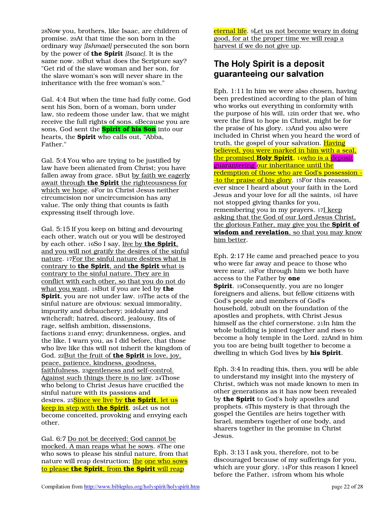28Now you, brothers, like Isaac, are children of promise. 29At that time the son born in the ordinary way *[Ishmael]* persecuted the son born by the power of the Spirit *[Isaac]*. It is the same now. 30But what does the Scripture say? "Get rid of the slave woman and her son, for the slave woman's son will never share in the inheritance with the free woman's son."

Gal. 4:4 But when the time had fully come, God sent his Son, born of a woman, born under law, 5to redeem those under law, that we might receive the full rights of sons. 6Because you are sons, God sent the **Spirit of his Son** into our hearts, the **Spirit** who calls out, "Abba, Father."

Gal. 5:4 You who are trying to be justified by law have been alienated from Christ; you have fallen away from grace. 5But by faith we eagerly await through **the Spirit** the righteousness for which we hope. 6For in Christ Jesus neither circumcision nor uncircumcision has any value. The only thing that counts is faith expressing itself through love.

Gal. 5:15 If you keep on biting and devouring each other, watch out or you will be destroyed by each other. 16So I say, live by the Spirit, and you will not gratify the desires of the sinful nature. 17For the sinful nature desires what is contrary to **the Spirit**, and **the Spirit** what is contrary to the sinful nature. They are in conflict with each other, so that you do not do what you want. 18But if you are led by the Spirit, you are not under law. 19The acts of the sinful nature are obvious: sexual immorality, impurity and debauchery; 20idolatry and witchcraft; hatred, discord, jealousy, fits of rage, selfish ambition, dissensions, factions 21and envy; drunkenness, orgies, and the like. I warn you, as I did before, that those who live like this will not inherit the kingdom of God. 22But the fruit of **the Spirit** is love, joy, peace, patience, kindness, goodness, faithfulness, 23gentleness and self-control. Against such things there is no law. 24Those who belong to Christ Jesus have crucified the sinful nature with its passions and desires. 25**Since we live by the Spirit**, let us keep in step with **the Spirit**. 26Let us not become conceited, provoking and envying each other.

Gal. 6:7 Do not be deceived: God cannot be mocked. A man reaps what he sows. 8The one who sows to please his sinful nature, from that nature will reap destruction; the one who sows to please the Spirit, from the Spirit will reap

eternal life. 9Let us not become weary in doing good, for at the proper time we will reap a harvest if we do not give up.

#### The Holy Spirit is a deposit guaranteeing our salvation

Eph. 1:11 In him we were also chosen, having been predestined according to the plan of him who works out everything in conformity with the purpose of his will, 12in order that we, who were the first to hope in Christ, might be for the praise of his glory. 13And you also were included in Christ when you heard the word of truth, the gospel of your salvation. Having believed, you were marked in him with a seal, the promised Holy Spirit, 14who is a deposit guaranteeing our inheritance until the redemption of those who are God's possession - -to the praise of his glory. 15 For this reason, ever since I heard about your faith in the Lord Jesus and your love for all the saints, 16I have not stopped giving thanks for you, remembering you in my prayers. 17<sup>I</sup> keep asking that the God of our Lord Jesus Christ, the glorious Father, may give you the **Spirit of** wisdom and revelation, so that you may know him better.

Eph. 2:17 He came and preached peace to you who were far away and peace to those who were near. 18For through him we both have access to the Father by one **Spirit.** 19Consequently, you are no longer foreigners and aliens, but fellow citizens with God's people and members of God's household, 20built on the foundation of the apostles and prophets, with Christ Jesus himself as the chief cornerstone. 21In him the whole building is joined together and rises to become a holy temple in the Lord. 22And in him you too are being built together to become a dwelling in which God lives by his Spirit.

Eph. 3:4 In reading this, then, you will be able to understand my insight into the mystery of Christ, 5which was not made known to men in other generations as it has now been revealed by the Spirit to God's holy apostles and prophets. 6This mystery is that through the gospel the Gentiles are heirs together with Israel, members together of one body, and sharers together in the promise in Christ Jesus.

Eph. 3:13 I ask you, therefore, not to be discouraged because of my sufferings for you, which are your glory. 14For this reason I kneel before the Father, 15from whom his whole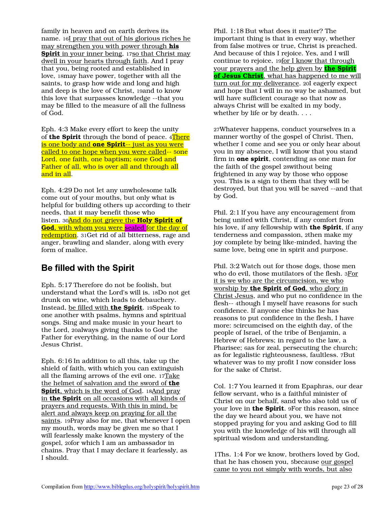family in heaven and on earth derives its name. 16I pray that out of his glorious riches he may strengthen you with power through his **Spirit** in your inner being, 17so that Christ may dwell in your hearts through faith. And I pray that you, being rooted and established in love, 18may have power, together with all the saints, to grasp how wide and long and high and deep is the love of Christ, 19and to know this love that surpasses knowledge --that you may be filled to the measure of all the fullness of God.

Eph. 4:3 Make every effort to keep the unity of the Spirit through the bond of peace. 4There is one body and one Spirit-- just as you were called to one hope when you were called-- 5one Lord, one faith, one baptism; sone God and Father of all, who is over all and through all and in all.

Eph. 4:29 Do not let any unwholesome talk come out of your mouths, but only what is helpful for building others up according to their needs, that it may benefit those who listen. 30<mark>And do not grieve the Holy Spirit of</mark> God, with whom you were sealed for the day of redemption. 31Get rid of all bitterness, rage and anger, brawling and slander, along with every form of malice.

#### Be filled with the Spirit

Eph. 5:17 Therefore do not be foolish, but understand what the Lord's will is. 18Do not get drunk on wine, which leads to debauchery. Instead, be filled with **the Spirit**. 19Speak to one another with psalms, hymns and spiritual songs. Sing and make music in your heart to the Lord, 20always giving thanks to God the Father for everything, in the name of our Lord Jesus Christ.

Eph. 6:16 In addition to all this, take up the shield of faith, with which you can extinguish all the flaming arrows of the evil one. 17Take the helmet of salvation and the sword of the Spirit, which is the word of God. 18And pray in the Spirit on all occasions with all kinds of prayers and requests. With this in mind, be alert and always keep on praying for all the saints. 19Pray also for me, that whenever I open my mouth, words may be given me so that I will fearlessly make known the mystery of the gospel, 20for which I am an ambassador in chains. Pray that I may declare it fearlessly, as I should.

Phil. 1:18 But what does it matter? The important thing is that in every way, whether from false motives or true, Christ is preached. And because of this I rejoice. Yes, and I will continue to rejoice, 19for I know that through your prayers and the help given by the Spirit of **Jesus Christ**, what has happened to me will turn out for my deliverance. 20I eagerly expect and hope that I will in no way be ashamed, but will have sufficient courage so that now as always Christ will be exalted in my body, whether by life or by death. . . .

27Whatever happens, conduct yourselves in a manner worthy of the gospel of Christ. Then, whether I come and see you or only hear about you in my absence, I will know that you stand firm in **one spirit**, contending as one man for the faith of the gospel 28without being frightened in any way by those who oppose you. This is a sign to them that they will be destroyed, but that you will be saved --and that by God.

Phil. 2:1 If you have any encouragement from being united with Christ, if any comfort from his love, if any fellowship with **the Spirit**, if any tenderness and compassion, 2then make my joy complete by being like-minded, having the same love, being one in spirit and purpose.

Phil. 3:2 Watch out for those dogs, those men who do evil, those mutilators of the flesh. 3For it is we who are the circumcision, we who worship by the Spirit of God, who glory in Christ Jesus, and who put no confidence in the flesh-- 4though I myself have reasons for such confidence. If anyone else thinks he has reasons to put confidence in the flesh, I have more: 5circumcised on the eighth day, of the people of Israel, of the tribe of Benjamin, a Hebrew of Hebrews; in regard to the law, a Pharisee; 6as for zeal, persecuting the church; as for legalistic righteousness, faultless. 7But whatever was to my profit I now consider loss for the sake of Christ.

Col. 1:7 You learned it from Epaphras, our dear fellow servant, who is a faithful minister of Christ on our behalf, 8and who also told us of your love in **the Spirit**. 9For this reason, since the day we heard about you, we have not stopped praying for you and asking God to fill you with the knowledge of his will through all spiritual wisdom and understanding.

1Ths. 1:4 For we know, brothers loved by God, that he has chosen you, 5because our gospel came to you not simply with words, but also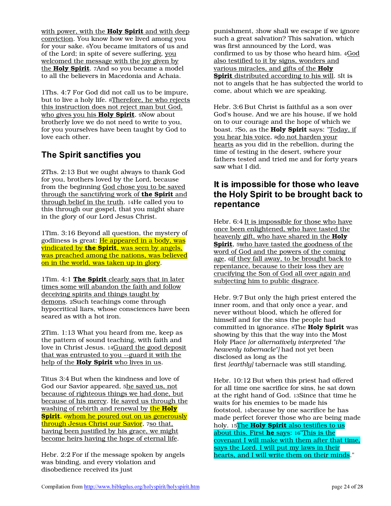with power, with the **Holy Spirit** and with deep conviction. You know how we lived among you for your sake. 6You became imitators of us and of the Lord; in spite of severe suffering, you welcomed the message with the joy given by the **Holy Spirit**. 7And so you became a model to all the believers in Macedonia and Achaia.

1Ths. 4:7 For God did not call us to be impure, but to live a holy life. 8Therefore, he who rejects this instruction does not reject man but God, who gives you his **Holy Spirit**. 9Now about brotherly love we do not need to write to you, for you yourselves have been taught by God to love each other.

#### The Spirit sanctifies you

2Ths. 2:13 But we ought always to thank God for you, brothers loved by the Lord, because from the beginning God chose you to be saved through the sanctifying work of the Spirit and through belief in the truth. 14He called you to this through our gospel, that you might share in the glory of our Lord Jesus Christ.

1Tim. 3:16 Beyond all question, the mystery of godliness is great: <mark>He appeared in a body, was</mark> vindicated by the Spirit, was seen by angels, was preached among the nations, was believed on in the world, was taken up in glory.

1Tim. 4:1 The Spirit clearly says that in later times some will abandon the faith and follow deceiving spirits and things taught by demons. 2Such teachings come through hypocritical liars, whose consciences have been seared as with a hot iron.

2Tim. 1:13 What you heard from me, keep as the pattern of sound teaching, with faith and love in Christ Jesus. 14Guard the good deposit that was entrusted to you --guard it with the help of the **Holy Spirit** who lives in us.

Titus 3:4 But when the kindness and love of God our Savior appeared, 5he saved us, not because of righteous things we had done, but because of his mercy. He saved us through the washing of rebirth and renewal by the Holy **Spirit**, whom he poured out on us generously through Jesus Christ our Savior, 7so that, having been justified by his grace, we might become heirs having the hope of eternal life.

Hebr. 2:2 For if the message spoken by angels was binding, and every violation and disobedience received its just

punishment, 3how shall we escape if we ignore such a great salvation? This salvation, which was first announced by the Lord, was confirmed to us by those who heard him. 4God also testified to it by signs, wonders and various miracles, and gifts of the **Holy** Spirit distributed according to his will. 5It is not to angels that he has subjected the world to come, about which we are speaking.

Hebr. 3:6 But Christ is faithful as a son over God's house. And we are his house, if we hold on to our courage and the hope of which we boast. 7So, as the **Holy Spirit** says: "Today, if you hear his voice, 8do not harden your hearts as you did in the rebellion, during the time of testing in the desert, 9where your fathers tested and tried me and for forty years saw what I did.

#### It is impossible for those who leave the Holy Spirit to be brought back to repentance

Hebr. 6:4 It is impossible for those who have once been enlightened, who have tasted the heavenly gift, who have shared in the **Holy** Spirit, 5who have tasted the goodness of the word of God and the powers of the coming age, 6if they fall away, to be brought back to repentance, because to their loss they are crucifying the Son of God all over again and subjecting him to public disgrace.

Hebr. 9:7 But only the high priest entered the inner room, and that only once a year, and never without blood, which he offered for himself and for the sins the people had committed in ignorance. 8The **Holy Spirit** was showing by this that the way into the Most Holy Place *[or alternatively interpreted "the heavenly tabernacle"]* had not yet been disclosed as long as the first *[earthly]* tabernacle was still standing.

Hebr. 10:12 But when this priest had offered for all time one sacrifice for sins, he sat down at the right hand of God. 13Since that time he waits for his enemies to be made his footstool, 14because by one sacrifice he has made perfect forever those who are being made holy. 15The Holy Spirit also testifies to us about this. First he says: 16"This is the covenant I will make with them after that time, says the Lord. I will put my laws in their hearts, and I will write them on their minds."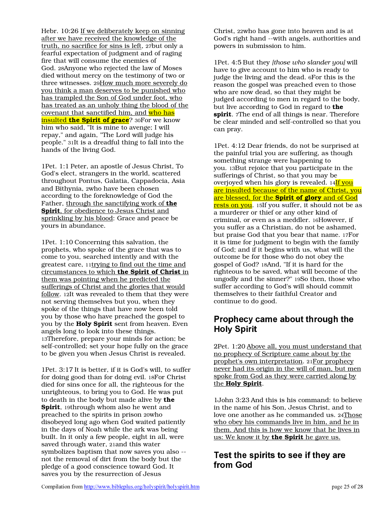Hebr. 10:26 If we deliberately keep on sinning after we have received the knowledge of the truth, no sacrifice for sins is left, 27but only a fearful expectation of judgment and of raging fire that will consume the enemies of God. 28Anyone who rejected the law of Moses died without mercy on the testimony of two or three witnesses. 29How much more severely do you think a man deserves to be punished who has trampled the Son of God under foot, who has treated as an unholy thing the blood of the covenant that sanctified him, and who has insulted the Spirit of grace? 30For we know him who said, "It is mine to avenge; I will repay," and again, "The Lord will judge his people." 31It is a dreadful thing to fall into the hands of the living God.

1Pet. 1:1 Peter, an apostle of Jesus Christ, To God's elect, strangers in the world, scattered throughout Pontus, Galatia, Cappadocia, Asia and Bithynia, 2who have been chosen according to the foreknowledge of God the Father, through the sanctifying work of the Spirit, for obedience to Jesus Christ and sprinkling by his blood: Grace and peace be yours in abundance.

1Pet. 1:10 Concerning this salvation, the prophets, who spoke of the grace that was to come to you, searched intently and with the greatest care, 11trying to find out the time and circumstances to which the Spirit of Christ in them was pointing when he predicted the sufferings of Christ and the glories that would follow. 12It was revealed to them that they were not serving themselves but you, when they spoke of the things that have now been told you by those who have preached the gospel to you by the **Holy Spirit** sent from heaven. Even angels long to look into these things. 13Therefore, prepare your minds for action; be self-controlled; set your hope fully on the grace to be given you when Jesus Christ is revealed.

1Pet. 3:17 It is better, if it is God's will, to suffer for doing good than for doing evil. 18For Christ died for sins once for all, the righteous for the unrighteous, to bring you to God. He was put to death in the body but made alive by the Spirit, 19through whom also he went and preached to the spirits in prison 20who disobeyed long ago when God waited patiently in the days of Noah while the ark was being built. In it only a few people, eight in all, were saved through water, 21and this water symbolizes baptism that now saves you also - not the removal of dirt from the body but the pledge of a good conscience toward God. It saves you by the resurrection of Jesus

Christ, 22who has gone into heaven and is at God's right hand --with angels, authorities and powers in submission to him.

1Pet. 4:5 But they *[those who slander you]* will have to give account to him who is ready to judge the living and the dead. 6For this is the reason the gospel was preached even to those who are now dead, so that they might be judged according to men in regard to the body, but live according to God in regard to **the spirit.** 7The end of all things is near. Therefore be clear minded and self-controlled so that you can pray.

1Pet. 4:12 Dear friends, do not be surprised at the painful trial you are suffering, as though something strange were happening to you. 13But rejoice that you participate in the sufferings of Christ, so that you may be overjoyed when his glory is revealed. 14H you are insulted because of the name of Christ, you are blessed, for the **Spirit of glory** and of God rests on you. 15If you suffer, it should not be as a murderer or thief or any other kind of criminal, or even as a meddler. 16However, if you suffer as a Christian, do not be ashamed, but praise God that you bear that name. 17For it is time for judgment to begin with the family of God; and if it begins with us, what will the outcome be for those who do not obey the gospel of God? 18And, "If it is hard for the righteous to be saved, what will become of the ungodly and the sinner?" 19So then, those who suffer according to God's will should commit themselves to their faithful Creator and continue to do good.

#### ÷øùúûüýþ ýÿ0ü ÿù- -ûøùû -ûü Holy Spirit

2Pet. 1:20 Above all, you must understand that no prophecy of Scripture came about by the prophet's own interpretation. 21For prophecy never had its origin in the will of man, but men spoke from God as they were carried along by the Holy Spirit.

1John 3:23 And this is his command: to believe in the name of his Son, Jesus Christ, and to love one another as he commanded us. 24Those who obey his commands live in him, and he in them. And this is how we know that he lives in us: We know it by the Spirit he gave us.

#### ú úver en de landen en de landen en de landen en de landen en de landen en de landen en de landen en de landen from God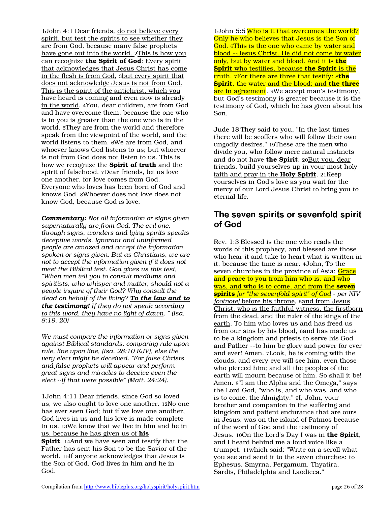1John 4:1 Dear friends, do not believe every spirit, but test the spirits to see whether they are from God, because many false prophets have gone out into the world. 2This is how you can recognize the Spirit of God: Every spirit that acknowledges that Jesus Christ has come in the flesh is from God, 3but every spirit that does not acknowledge Jesus is not from God. This is the spirit of the antichrist, which you have heard is coming and even now is already in the world. 4You, dear children, are from God and have overcome them, because the one who is in you is greater than the one who is in the world. 5They are from the world and therefore speak from the viewpoint of the world, and the world listens to them. 6We are from God, and whoever knows God listens to us; but whoever is not from God does not listen to us. This is how we recognize the **Spirit of truth** and the spirit of falsehood. 7Dear friends, let us love one another, for love comes from God. Everyone who loves has been born of God and knows God. 8Whoever does not love does not know God, because God is love.

*Commentary: Not all information or signs given supernaturally are from God. The evil one, through signs, wonders and lying spirits speaks deceptive words. Ignorant and uninformed people are amazed and accept the information spoken or signs given. But as Christians, we are not to accept the information given if it does not meet the Biblical test. God gives us this test, "When men tell you to consult mediums and spiritists, who whisper and mutter, should not a people inquire of their God? Why consult the dead on behalf of the living? To the law and to the testimony! If they do not speak according to this word, they have no light of dawn. " (Isa. 8:19, 20)* 

*We must compare the information or signs given against Biblical standards, comparing rule upon rule, line upon line, (Isa. 28:10 KJV), else the very elect might be deceived. "For false Christs and false prophets will appear and perform great signs and miracles to deceive even the elect --if that were possible" (Matt. 24:24).* 

1John 4:11 Dear friends, since God so loved us, we also ought to love one another. 12No one has ever seen God; but if we love one another, God lives in us and his love is made complete in us. 13We know that we live in him and he in us, because he has given us of his **Spirit.** 14And we have seen and testify that the

Father has sent his Son to be the Savior of the world. 15If anyone acknowledges that Jesus is the Son of God, God lives in him and he in God.

1John 5:5 Who is it that overcomes the world? Only he who believes that Jesus is the Son of God. 6This is the one who came by water and blood --Jesus Christ. He did not come by water only, but by water and blood. And it is the Spirit who testifies, because the Spirit is the truth. 7For there are three that testify: sthe **Spirit**, the water and the blood; and **the three** are in agreement. 9We accept man's testimony, but God's testimony is greater because it is the testimony of God, which he has given about his Son.

Jude 18 They said to you, "In the last times there will be scoffers who will follow their own ungodly desires." 19These are the men who divide you, who follow mere natural instincts and do not have **the Spirit**. 20 But you, dear friends, build yourselves up in your most holy faith and pray in the **Holy Spirit**. 21Keep yourselves in God's love as you wait for the mercy of our Lord Jesus Christ to bring you to eternal life.

#### The seven spirits or sevenfold spirit of God

Rev. 1:3 Blessed is the one who reads the words of this prophecy, and blessed are those who hear it and take to heart what is written in it, because the time is near. 4John, To the seven churches in the province of Asia: Grace and peace to you from him who is, and who was, and who is to come, and from the seven spirits *[or "the sevenfold spirit" of God - per NIV footnote]* before his throne, 5and from Jesus Christ, who is the faithful witness, the firstborn from the dead, and the ruler of the kings of the earth. To him who loves us and has freed us from our sins by his blood, 6and has made us to be a kingdom and priests to serve his God and Father --to him be glory and power for ever and ever! Amen. 7Look, he is coming with the clouds, and every eye will see him, even those who pierced him; and all the peoples of the earth will mourn because of him. So shall it be! Amen. 8"I am the Alpha and the Omega," says the Lord God, "who is, and who was, and who is to come, the Almighty." 9I, John, your brother and companion in the suffering and kingdom and patient endurance that are ours in Jesus, was on the island of Patmos because of the word of God and the testimony of Jesus. 10On the Lord's Day I was in the Spirit, and I heard behind me a loud voice like a trumpet, 11which said: "Write on a scroll what you see and send it to the seven churches: to Ephesus, Smyrna, Pergamum, Thyatira, Sardis, Philadelphia and Laodicea."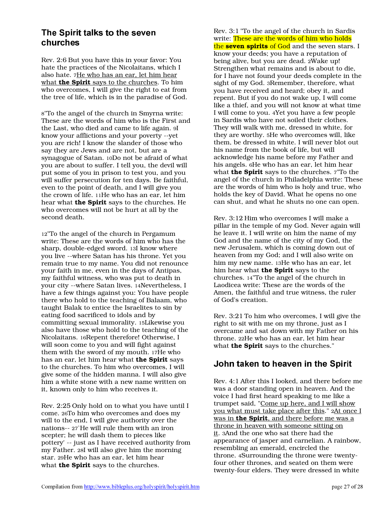#### The Spirit talks to the seven churches

Rev. 2:6 But you have this in your favor: You hate the practices of the Nicolaitans, which I also hate. 7He who has an ear, let him hear what **the Spirit** says to the churches. To him who overcomes, I will give the right to eat from the tree of life, which is in the paradise of God.

8"To the angel of the church in Smyrna write: These are the words of him who is the First and the Last, who died and came to life again. 9I know your afflictions and your poverty --yet you are rich! I know the slander of those who say they are Jews and are not, but are a synagogue of Satan. 10Do not be afraid of what you are about to suffer. I tell you, the devil will put some of you in prison to test you, and you will suffer persecution for ten days. Be faithful, even to the point of death, and I will give you the crown of life. 11He who has an ear, let him hear what **the Spirit** says to the churches. He who overcomes will not be hurt at all by the second death.

12"To the angel of the church in Pergamum write: These are the words of him who has the sharp, double-edged sword. 13I know where you live --where Satan has his throne. Yet you remain true to my name. You did not renounce your faith in me, even in the days of Antipas, my faithful witness, who was put to death in your city --where Satan lives. 14Nevertheless, I have a few things against you: You have people there who hold to the teaching of Balaam, who taught Balak to entice the Israelites to sin by eating food sacrificed to idols and by committing sexual immorality. 15Likewise you also have those who hold to the teaching of the Nicolaitans. 16Repent therefore! Otherwise, I will soon come to you and will fight against them with the sword of my mouth. 17He who has an ear, let him hear what the Spirit says to the churches. To him who overcomes, I will give some of the hidden manna. I will also give him a white stone with a new name written on it, known only to him who receives it.

Rev. 2:25 Only hold on to what you have until I come. 26To him who overcomes and does my will to the end, I will give authority over the nations-- 27`He will rule them with an iron scepter; he will dash them to pieces like pottery' -- just as I have received authority from my Father. 28I will also give him the morning star. 29He who has an ear, let him hear what **the Spirit** says to the churches.

Rev. 3:1 "To the angel of the church in Sardis write: These are the words of him who holds the seven spirits of God and the seven stars. I know your deeds; you have a reputation of being alive, but you are dead. 2Wake up! Strengthen what remains and is about to die, for I have not found your deeds complete in the sight of my God. 3Remember, therefore, what you have received and heard; obey it, and repent. But if you do not wake up, I will come like a thief, and you will not know at what time I will come to you. 4Yet you have a few people in Sardis who have not soiled their clothes. They will walk with me, dressed in white, for they are worthy. 5He who overcomes will, like them, be dressed in white. I will never blot out his name from the book of life, but will acknowledge his name before my Father and his angels. 6He who has an ear, let him hear what **the Spirit** says to the churches. 7 To the angel of the church in Philadelphia write: These are the words of him who is holy and true, who holds the key of David. What he opens no one can shut, and what he shuts no one can open.

Rev. 3:12 Him who overcomes I will make a pillar in the temple of my God. Never again will he leave it. I will write on him the name of my God and the name of the city of my God, the new Jerusalem, which is coming down out of heaven from my God; and I will also write on him my new name. 13He who has an ear, let him hear what **the Spirit** says to the churches. 14"To the angel of the church in Laodicea write: These are the words of the Amen, the faithful and true witness, the ruler of God's creation.

Rev. 3:21 To him who overcomes, I will give the right to sit with me on my throne, just as I overcame and sat down with my Father on his throne. 22He who has an ear, let him hear what **the Spirit** says to the churches."

#### John taken to heaven in the Spirit

Rev. 4:1 After this I looked, and there before me was a door standing open in heaven. And the voice I had first heard speaking to me like a trumpet said, "Come up here, and I will show you what must take place after this." 2At once I was in the Spirit, and there before me was a throne in heaven with someone sitting on it. 3And the one who sat there had the appearance of jasper and carnelian. A rainbow, resembling an emerald, encircled the throne. 4Surrounding the throne were twentyfour other thrones, and seated on them were twenty-four elders. They were dressed in white